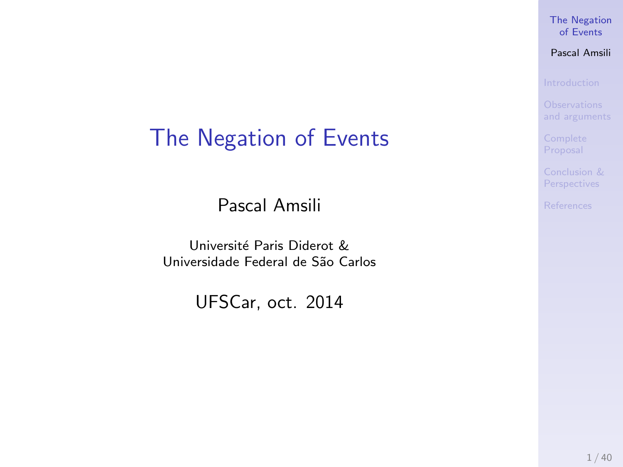## <span id="page-0-0"></span>The Negation of Events

Pascal Amsili

Université Paris Diderot & Universidade Federal de São Carlos

UFSCar, oct. 2014

#### [The Negation](#page-86-0) of Events

#### Pascal Amsili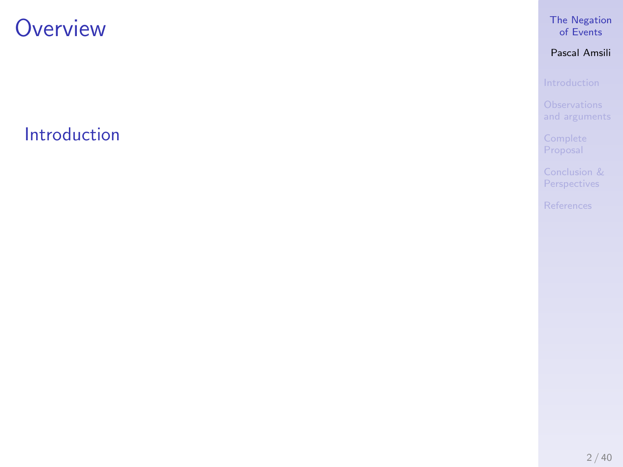[Introduction](#page-5-0)

### [The Negation](#page-0-0) of Events

### Pascal Amsili

[Conclusion &](#page-84-0) Perspectives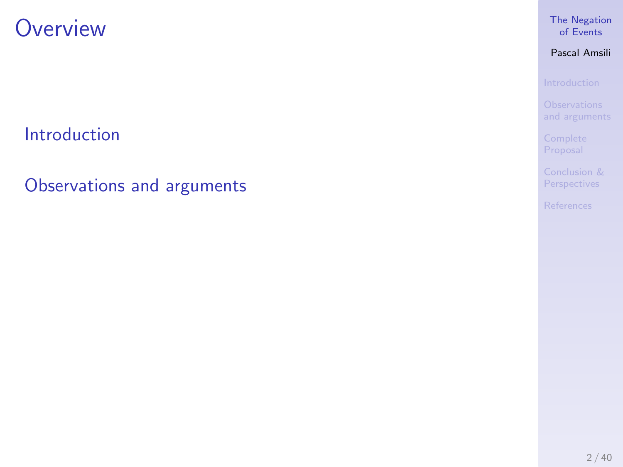[Introduction](#page-5-0)

[Observations and arguments](#page-63-0)

### [The Negation](#page-0-0) of Events

Pascal Amsili

[Conclusion &](#page-84-0)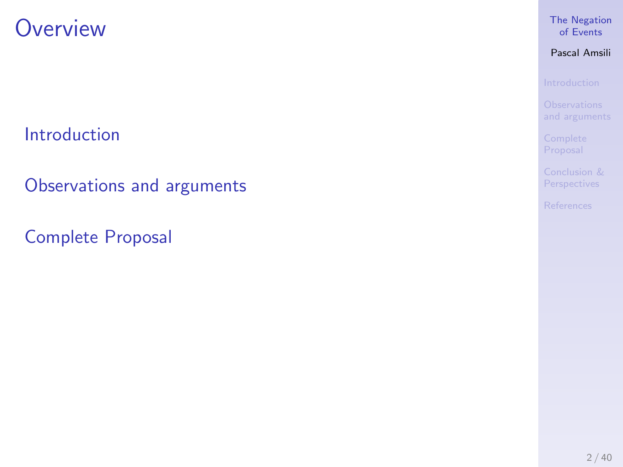[Introduction](#page-5-0)

[Observations and arguments](#page-63-0)

[Complete Proposal](#page-79-0)

### [The Negation](#page-0-0) of Events

Pascal Amsili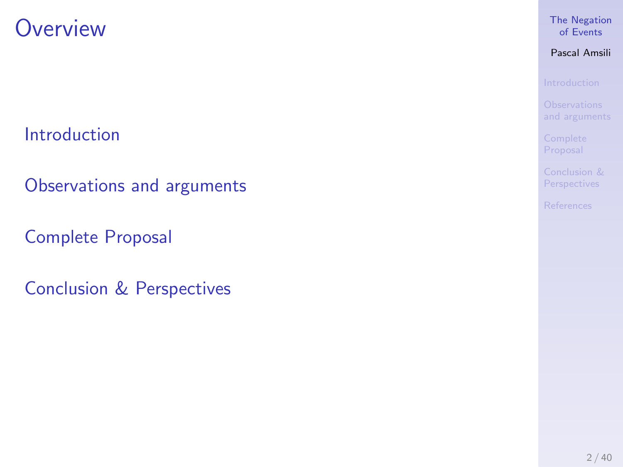[Introduction](#page-5-0)

[Observations and arguments](#page-63-0)

[Complete Proposal](#page-79-0)

[Conclusion & Perspectives](#page-84-0)

### [The Negation](#page-0-0) of Events

Pascal Amsili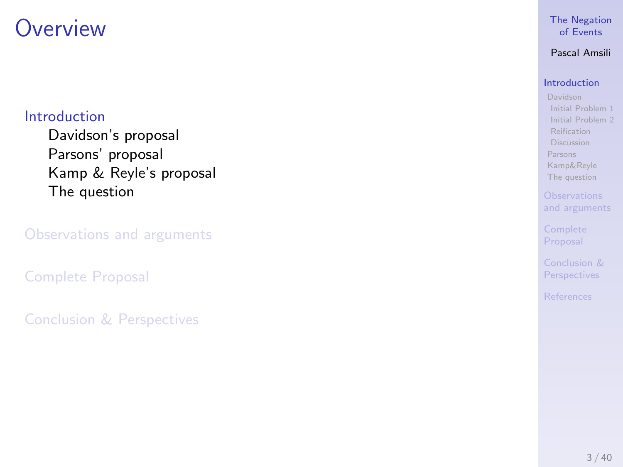### <span id="page-5-0"></span>[Introduction](#page-5-0)

[Davidson's proposal](#page-6-0) [Parsons' proposal](#page-46-0) [Kamp & Reyle's proposal](#page-53-0) [The question](#page-60-0)

[Complete Proposal](#page-79-0)

[Conclusion & Perspectives](#page-84-0)

#### [The Negation](#page-0-0) of Events

### Pascal Amsili

### [Introduction](#page-5-0)

[Davidson](#page-6-0) [Initial Problem 1](#page-6-0) [Initial Problem 2](#page-22-0) [Reification](#page-36-0) **[Discussion](#page-38-0)** [Parsons](#page-46-0) [Kamp&Reyle](#page-53-0) [The question](#page-60-0)

[and arguments](#page-63-0)

Proposal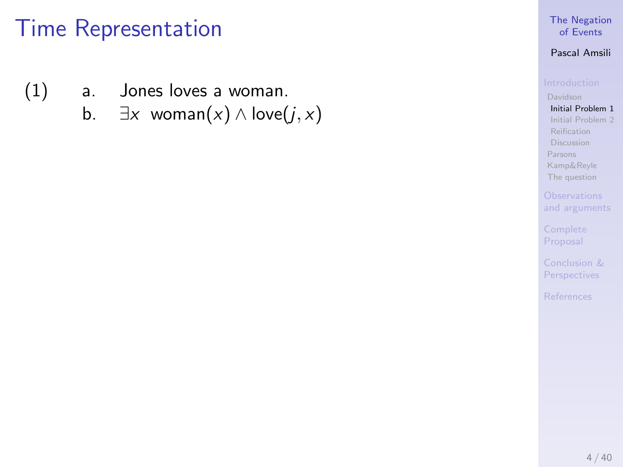- <span id="page-6-0"></span>(1) a. Jones loves a woman.
	- b.  $\exists x \text{ woman}(x) \land \text{love}(j, x)$

#### [The Negation](#page-0-0) of Events

#### Pascal Amsili

[Initial Problem 1](#page-6-0) [Initial Problem 2](#page-22-0) [Reification](#page-36-0) [Discussion](#page-38-0) [Parsons](#page-46-0) [Kamp&Reyle](#page-53-0) [The question](#page-60-0)

Proposal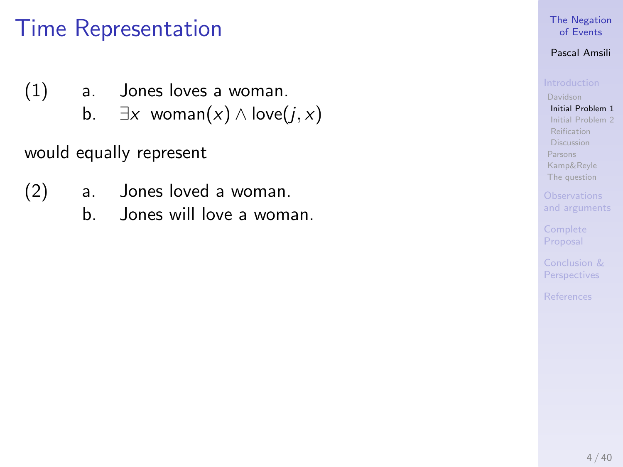- (1) a. Jones loves a woman.
	- b.  $\exists x \text{ woman}(x) \land \text{love}(j, x)$

would equally represent

- (2) a. Jones loved a woman.
	- b. Jones will love a woman.

### [The Negation](#page-0-0) of Events

### Pascal Amsili

[Initial Problem 1](#page-6-0) [Initial Problem 2](#page-22-0) [Reification](#page-36-0) [Discussion](#page-38-0) [Parsons](#page-46-0) [Kamp&Reyle](#page-53-0) [The question](#page-60-0)

[and arguments](#page-63-0)

Proposal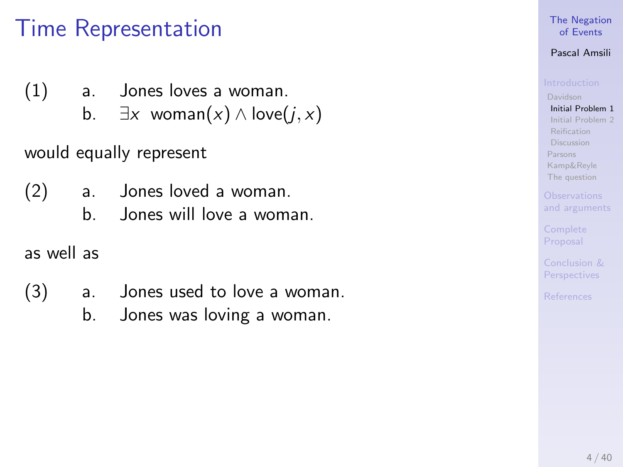- (1) a. Jones loves a woman.
	- b.  $\exists x \text{ woman}(x) \land \text{love}(i, x)$

would equally represent

- (2) a. Jones loved a woman.
	- b. Jones will love a woman.

as well as

- (3) a. Jones used to love a woman.
	- b. Jones was loving a woman.

### [The Negation](#page-0-0) of Events

### Pascal Amsili

[Davidson](#page-6-0) [Initial Problem 1](#page-6-0) [Initial Problem 2](#page-22-0) [Reification](#page-36-0) [Discussion](#page-38-0) [Parsons](#page-46-0) [Kamp&Reyle](#page-53-0) [The question](#page-60-0)

[and arguments](#page-63-0)

Proposal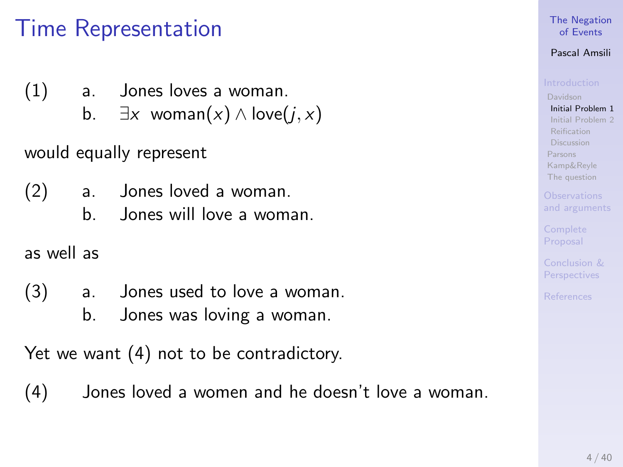- (1) a. Jones loves a woman.
	- b.  $\exists x \text{ woman}(x) \land \text{love}(i, x)$

would equally represent

- (2) a. Jones loved a woman.
	- b. Jones will love a woman.

as well as

- (3) a. Jones used to love a woman.
	- b. Jones was loving a woman.

Yet we want (4) not to be contradictory.

(4) Jones loved a women and he doesn't love a woman.

### [The Negation](#page-0-0) of Events

### Pascal Amsili

[Davidson](#page-6-0) [Initial Problem 1](#page-6-0) [Initial Problem 2](#page-22-0) [Discussion](#page-38-0) [Parsons](#page-46-0) [Kamp&Reyle](#page-53-0) [The question](#page-60-0)

[and arguments](#page-63-0)

Proposal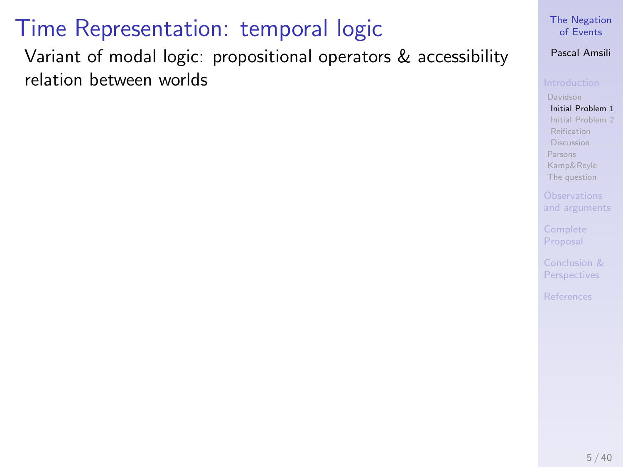Variant of modal logic: propositional operators & accessibility relation between worlds

#### [The Negation](#page-0-0) of Events

Pascal Amsili

[Initial Problem 1](#page-6-0) [Initial Problem 2](#page-22-0) [Reification](#page-36-0) **[Discussion](#page-38-0)** [Parsons](#page-46-0) [Kamp&Reyle](#page-53-0) [The question](#page-60-0)

[and arguments](#page-63-0)

Proposal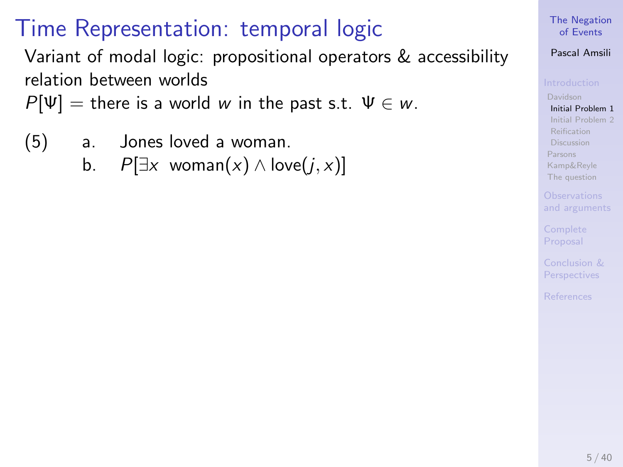Variant of modal logic: propositional operators & accessibility relation between worlds

 $P[\Psi] =$  there is a world w in the past s.t.  $\Psi \in W$ .

(5) a. Jones loved a woman.

b.  $P[\exists x \text{ woman}(x) \land \text{love}(i, x)]$ 

#### [The Negation](#page-0-0) of Events

### Pascal Amsili

[Davidson](#page-6-0) [Initial Problem 1](#page-6-0) [Initial Problem 2](#page-22-0) [Reification](#page-36-0) [Discussion](#page-38-0) [Parsons](#page-46-0) [Kamp&Reyle](#page-53-0) [The question](#page-60-0)

[and arguments](#page-63-0)

Proposal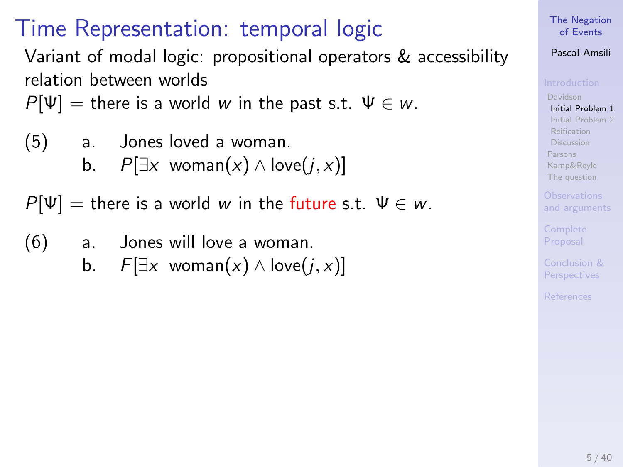Variant of modal logic: propositional operators & accessibility relation between worlds

 $P[\Psi] =$  there is a world w in the past s.t.  $\Psi \in W$ .

$$
(5) \qquad a. \qquad Jones loved a woman.
$$

b.  $P[∃x$  woman(x) ∧ love( $j, x$ )]

 $P[\Psi] =$  there is a world w in the future s.t.  $\Psi \in W$ .

- (6) a. Jones will love a woman.
	- b.  $F[\exists x \text{ woman}(x) \wedge \text{love}(i, x)]$

#### [The Negation](#page-0-0) of Events

### Pascal Amsili

[Davidson](#page-6-0) [Initial Problem 1](#page-6-0) [Initial Problem 2](#page-22-0) [Discussion](#page-38-0) [Parsons](#page-46-0) [Kamp&Reyle](#page-53-0) [The question](#page-60-0)

[and arguments](#page-63-0)

Proposal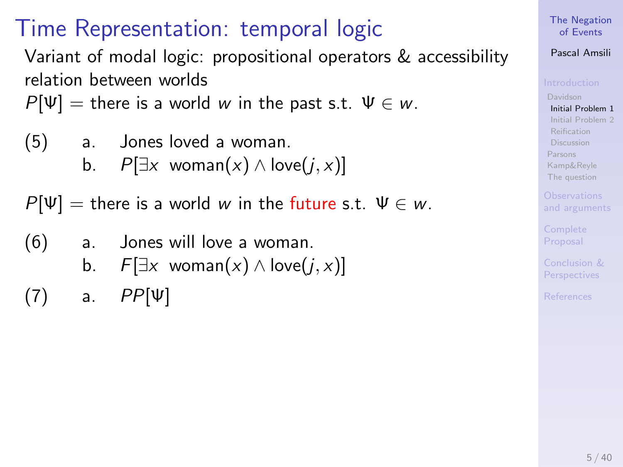Variant of modal logic: propositional operators & accessibility relation between worlds

 $P[\Psi] =$  there is a world w in the past s.t.  $\Psi \in W$ .

(5) a. Jones loved a woman.  
b. 
$$
D\Box x
$$
 woman(x) A low.

b.  $P[\exists x \text{ woman}(x) \land \text{love}(j, x)]$ 

 $P[\Psi] =$  there is a world w in the future s.t.  $\Psi \in W$ .

- (6) a. Jones will love a woman.
	- b.  $F[\exists x \text{ woman}(x) \wedge \text{love}(i, x)]$
- $(7)$  a.  $PP[\Psi]$

#### [The Negation](#page-0-0) of Events

### Pascal Amsili

[Davidson](#page-6-0) [Initial Problem 1](#page-6-0) [Initial Problem 2](#page-22-0) [Reification](#page-36-0) [Discussion](#page-38-0) [Parsons](#page-46-0) [Kamp&Reyle](#page-53-0) [The question](#page-60-0)

[and arguments](#page-63-0)

Proposal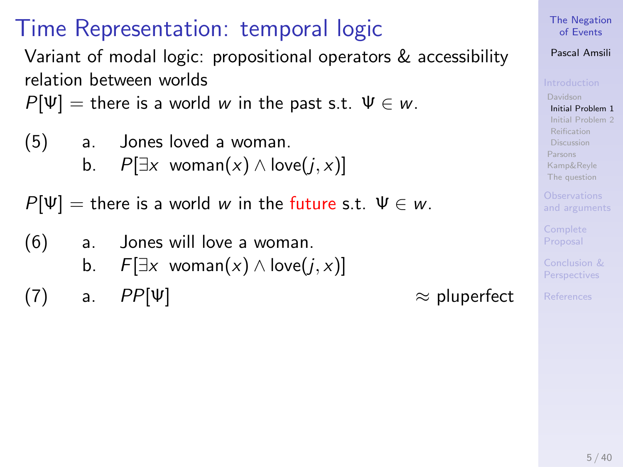Variant of modal logic: propositional operators & accessibility relation between worlds

 $P[\Psi] =$  there is a world w in the past s.t.  $\Psi \in W$ .

(5) a. Jones loved a woman.  
b. 
$$
P[\exists x \text{ woman}(x) \land \text{love}(j, x)]
$$

 $P[\Psi] =$  there is a world w in the future s.t.  $\Psi \in W$ .

- (6) a. Jones will love a woman.
	- b.  $F[\exists x \text{ woman}(x) \wedge \text{love}(i, x)]$
- (7) a.  $PP[\Psi]$   $\approx$  pluperfect

#### [The Negation](#page-0-0) of Events

### Pascal Amsili

[Davidson](#page-6-0) [Initial Problem 1](#page-6-0) [Initial Problem 2](#page-22-0) [Discussion](#page-38-0) [Parsons](#page-46-0) [Kamp&Reyle](#page-53-0) [The question](#page-60-0)

[and arguments](#page-63-0)

Proposal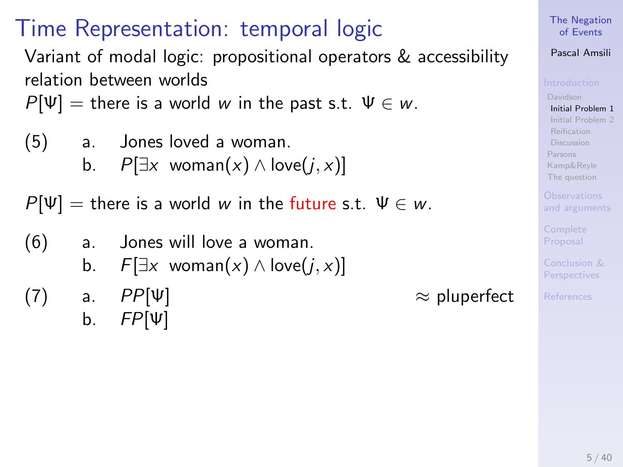Variant of modal logic: propositional operators & accessibility relation between worlds

 $P[\Psi] =$  there is a world w in the past s.t.  $\Psi \in W$ .

(5) a. Jones loved a woman.  
b. 
$$
D\Box x
$$
 woman(x) A box

b.  $P[\exists x \text{ woman}(x) \land \text{love}(j, x)]$ 

 $P[\Psi] =$  there is a world w in the future s.t.  $\Psi \in W$ .

- (6) a. Jones will love a woman.
	- b.  $F[\exists x \text{ woman}(x) \wedge \text{love}(i, x)]$
- (7) a.  $PP[\Psi]$   $\approx$  pluperfect b.  $FP[\Psi]$

### [The Negation](#page-0-0) of Events

### Pascal Amsili

[Davidson](#page-6-0) [Initial Problem 1](#page-6-0) [Initial Problem 2](#page-22-0) [Discussion](#page-38-0) [Parsons](#page-46-0) [Kamp&Reyle](#page-53-0) [The question](#page-60-0)

[and arguments](#page-63-0)

Proposal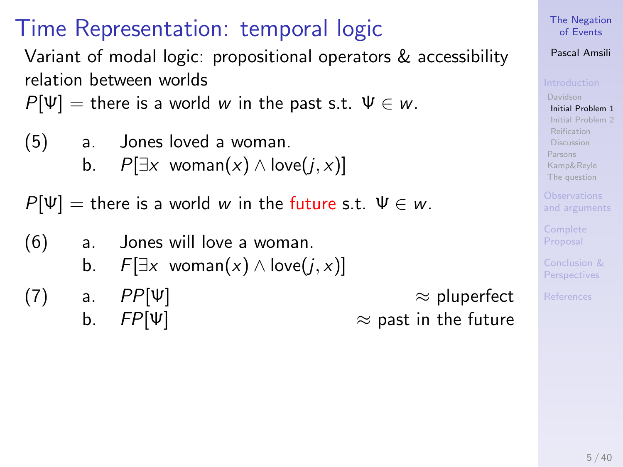Variant of modal logic: propositional operators & accessibility relation between worlds

 $P[\Psi] =$  there is a world w in the past s.t.  $\Psi \in W$ .

(5) a. Jones loved a woman.  
b. 
$$
B^{\square}x \text{ users}(x) \land \text{lex}(x)
$$

b.  $P[\exists x \text{ woman}(x) \land \text{love}(j, x)]$ 

 $P[\Psi] =$  there is a world w in the future s.t.  $\Psi \in W$ .

- (6) a. Jones will love a woman.
	- b.  $F[\exists x \text{ woman}(x) \wedge \text{love}(i, x)]$
- (7) a.  $PP[\Psi]$   $\approx$  pluperfect b.  $FP[\Psi]$   $\approx$  past in the future

#### [The Negation](#page-0-0) of Events

### Pascal Amsili

[Davidson](#page-6-0) [Initial Problem 1](#page-6-0) [Initial Problem 2](#page-22-0) [Discussion](#page-38-0) [Parsons](#page-46-0) [Kamp&Reyle](#page-53-0) [The question](#page-60-0)

[and arguments](#page-63-0)

Proposal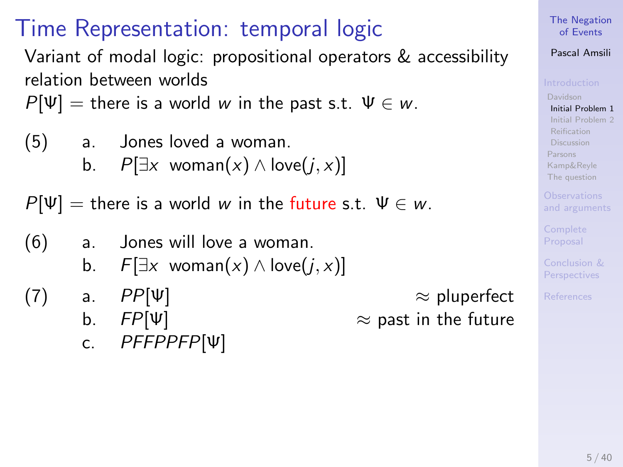Variant of modal logic: propositional operators & accessibility relation between worlds

 $P[\Psi] =$  there is a world w in the past s.t.  $\Psi \in W$ .

$$
(5) \qquad a. \qquad Jones loved a woman.
$$

b.  $P[∃x$  woman(x) ∧ love(j, x)]

 $P[\Psi] =$  there is a world w in the future s.t.  $\Psi \in W$ .

- (6) a. Jones will love a woman.
	- b.  $F[\exists x \text{ woman}(x) \wedge \text{love}(i, x)]$
- (7) a.  $PP[\Psi]$   $\approx$  pluperfect

c. PFFPPFP[Ψ]

b.  $FP[\Psi]$   $\approx$  past in the future

[The Negation](#page-0-0) of Events

### Pascal Amsili

[Davidson](#page-6-0) [Initial Problem 1](#page-6-0) [Initial Problem 2](#page-22-0) [Discussion](#page-38-0) [Parsons](#page-46-0) [Kamp&Reyle](#page-53-0) [The question](#page-60-0)

[and arguments](#page-63-0)

Proposal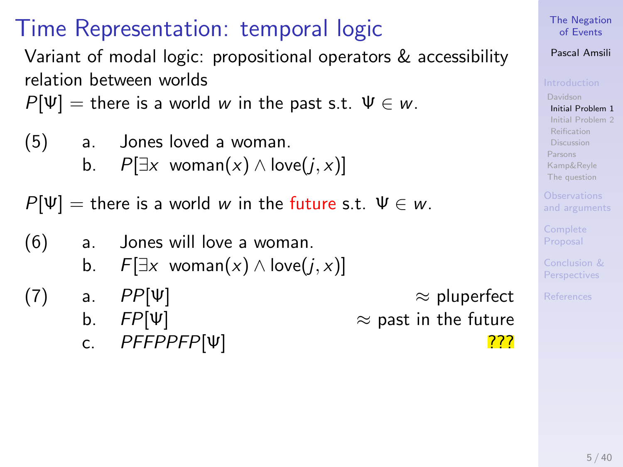Variant of modal logic: propositional operators & accessibility relation between worlds

 $P[\Psi] =$  there is a world w in the past s.t.  $\Psi \in W$ .

$$
(5) \qquad a. \qquad Jones loved a woman.
$$

b.  $P[∃x$  woman(x) ∧ love(j, x)]

 $P[\Psi] =$  there is a world w in the future s.t.  $\Psi \in W$ .

- (6) a. Jones will love a woman.
	- b.  $F[\exists x \text{ woman}(x) \wedge \text{love}(i, x)]$
- (7) a.  $PP[\Psi]$   $\approx$  pluperfect
	- -

b.  $FP[\Psi]$   $\approx$  past in the future c. PFFPPFP[Ψ] 2??

#### [The Negation](#page-0-0) of Events

### Pascal Amsili

[Davidson](#page-6-0) [Initial Problem 1](#page-6-0) [Initial Problem 2](#page-22-0) [Discussion](#page-38-0) [Parsons](#page-46-0) [Kamp&Reyle](#page-53-0) [The question](#page-60-0)

[and arguments](#page-63-0)

Proposal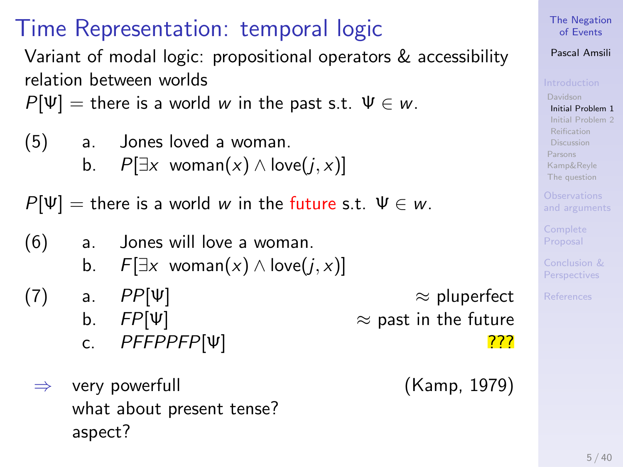Variant of modal logic: propositional operators & accessibility relation between worlds

 $P[\Psi] =$  there is a world w in the past s.t.  $\Psi \in W$ .

$$
(5) \qquad a. \qquad Jones loved a woman.
$$

b.  $P[∃x$  woman(x) ∧ love(j, x)]

 $P[\Psi] =$  there is a world w in the future s.t.  $\Psi \in W$ .

- (6) a. Jones will love a woman.
	- b.  $F[\exists x \text{ woman}(x) \wedge \text{love}(i, x)]$
- - -
	- $\Rightarrow$  very powerfull what about present tense? aspect?

```
(7) a. PP[\Psi] \approx pluperfect
b. FP[\Psi] \approx past in the future
c. PFFPPFP[Ψ] 2??
```
(Kamp, 1979)

[The Negation](#page-0-0) of Events

### Pascal Amsili

[Davidson](#page-6-0) [Initial Problem 1](#page-6-0) [Initial Problem 2](#page-22-0) [Discussion](#page-38-0) [Parsons](#page-46-0) [Kamp&Reyle](#page-53-0) [The question](#page-60-0)

[and arguments](#page-63-0)

Proposal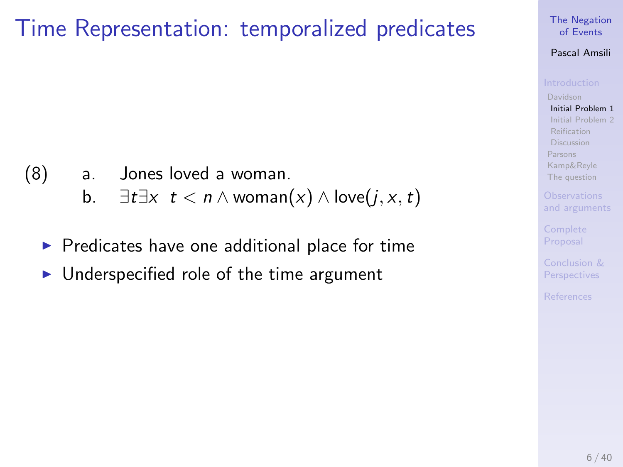## Time Representation: temporalized predicates

### (8) a. Jones loved a woman.

- b.  $\exists t \exists x \ t < n \land \text{woman}(x) \land \text{love}(j, x, t)$
- $\triangleright$  Predicates have one additional place for time
- $\blacktriangleright$  Underspecified role of the time argument

#### [The Negation](#page-0-0) of Events

#### Pascal Amsili

[Davidson](#page-6-0) [Initial Problem 1](#page-6-0) [Initial Problem 2](#page-22-0) [Reification](#page-36-0) [Discussion](#page-38-0) [Parsons](#page-46-0) [Kamp&Reyle](#page-53-0) [The question](#page-60-0)

[and arguments](#page-63-0)

Proposal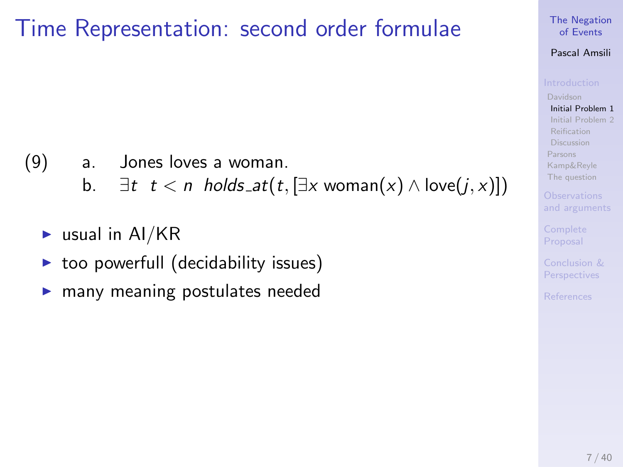## Time Representation: second order formulae

- (9) a. Jones loves a woman.
	- b.  $\exists t \, t < n \text{ holds}$   $\mathcal{A}(t, [\exists x \text{ woman}(x) \land \text{love}(j, x)])$
	- $\blacktriangleright$  usual in AI/KR
	- too powerfull (decidability issues)
	- many meaning postulates needed

#### [The Negation](#page-0-0) of Events

#### Pascal Amsili

[Davidson](#page-6-0) [Initial Problem 1](#page-6-0) [Initial Problem 2](#page-22-0) [Reification](#page-36-0) [Discussion](#page-38-0) [Parsons](#page-46-0) [Kamp&Reyle](#page-53-0) [The question](#page-60-0)

[and arguments](#page-63-0)

Proposal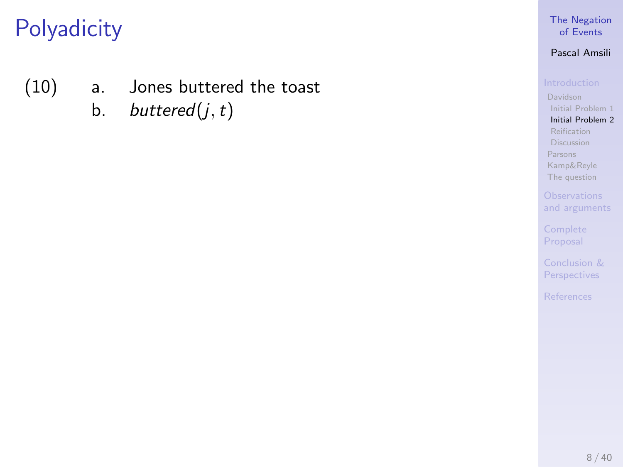- <span id="page-22-3"></span><span id="page-22-2"></span><span id="page-22-1"></span><span id="page-22-0"></span>(10) a. Jones buttered the toast
	- b. buttered $(j, t)$

### [The Negation](#page-0-0) of Events

### Pascal Amsili

[Initial Problem 1](#page-6-0) [Initial Problem 2](#page-22-0) [Reification](#page-36-0) [Discussion](#page-38-0)

[Parsons](#page-46-0) [Kamp&Reyle](#page-53-0) [The question](#page-60-0)

Proposal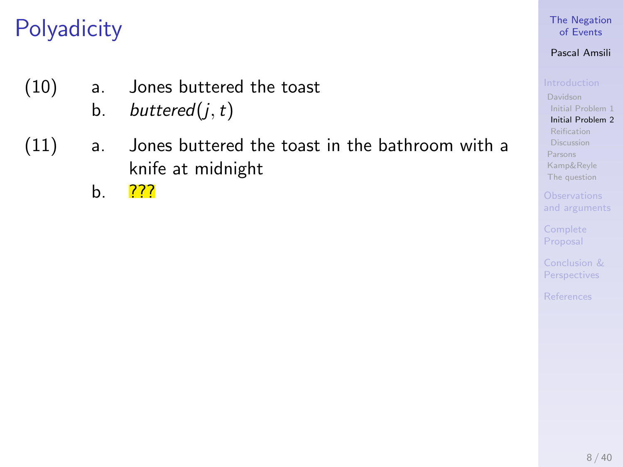- (10) a. Jones buttered the toast
	- b. buttered $(j, t)$
- (11) a. Jones buttered the toast in the bathroom with a knife at midnight
	- b. ???

### [The Negation](#page-0-0) of Events

### Pascal Amsili

[Initial Problem 1](#page-6-0) [Initial Problem 2](#page-22-0) [Reification](#page-36-0) [Discussion](#page-38-0) [Parsons](#page-46-0) [Kamp&Reyle](#page-53-0) [The question](#page-60-0)

[and arguments](#page-63-0)

Proposal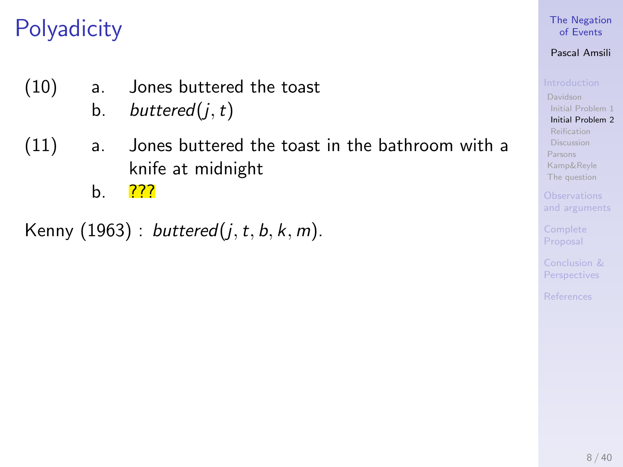- (10) a. Jones buttered the toast
	- b. buttered $(j, t)$
- (11) a. Jones buttered the toast in the bathroom with a knife at midnight
	- b. ???

Kenny (1963) : buttered $(j, t, b, k, m)$ .

### [The Negation](#page-0-0) of Events

### Pascal Amsili

[Davidson](#page-6-0) [Initial Problem 1](#page-6-0) [Initial Problem 2](#page-22-0) [Reification](#page-36-0) [Discussion](#page-38-0) [Parsons](#page-46-0) [Kamp&Reyle](#page-53-0) [The question](#page-60-0)

[and arguments](#page-63-0)

Proposal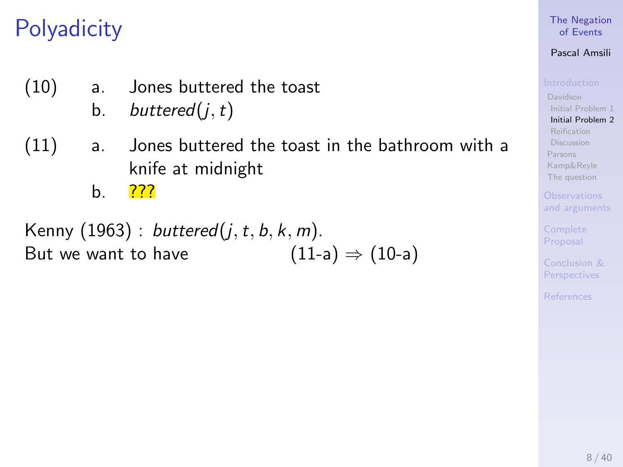- (10) a. Jones buttered the toast
	- b. buttered $(j, t)$
- (11) a. Jones buttered the toast in the bathroom with a knife at midnight
	- b. ???

Kenny (1963) : buttered $(j, t, b, k, m)$ . But we want to have  $(11-a) \Rightarrow (10-a)$  $(11-a) \Rightarrow (10-a)$ 

### [The Negation](#page-0-0) of Events

### Pascal Amsili

[Davidson](#page-6-0) [Initial Problem 1](#page-6-0) [Initial Problem 2](#page-22-0) [Reification](#page-36-0) [Discussion](#page-38-0) [Parsons](#page-46-0) [Kamp&Reyle](#page-53-0) [The question](#page-60-0)

[and arguments](#page-63-0)

Proposal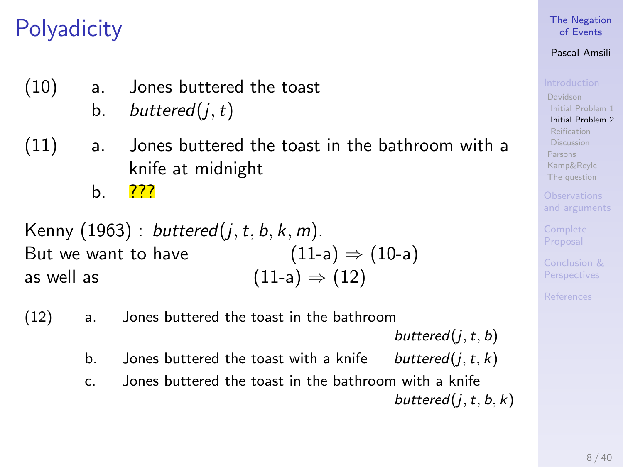- (10) a. Jones buttered the toast
	- b. buttered $(j, t)$
- (11) a. Jones buttered the toast in the bathroom with a knife at midnight
	- b. ???

Kenny (1963) : buttered(j, t, b, k, m). But we want to have  $(11-a) \Rightarrow (10-a)$  $(11-a) \Rightarrow (10-a)$ as well as  $(11-a) \Rightarrow (12)$  $(11-a) \Rightarrow (12)$ 

(12) a. Jones buttered the toast in the bathroom

buttered $(i, t, b)$ 

- b. Jones buttered the toast with a knife buttered( $i, t, k$ )
- c. Jones buttered the toast in the bathroom with a knife buttered $(j, t, b, k)$

[The Negation](#page-0-0) of Events

### Pascal Amsili

[Davidson](#page-6-0) [Initial Problem 1](#page-6-0) [Initial Problem 2](#page-22-0) [Discussion](#page-38-0) [Parsons](#page-46-0) [Kamp&Reyle](#page-53-0) [The question](#page-60-0)

[and arguments](#page-63-0)

Proposal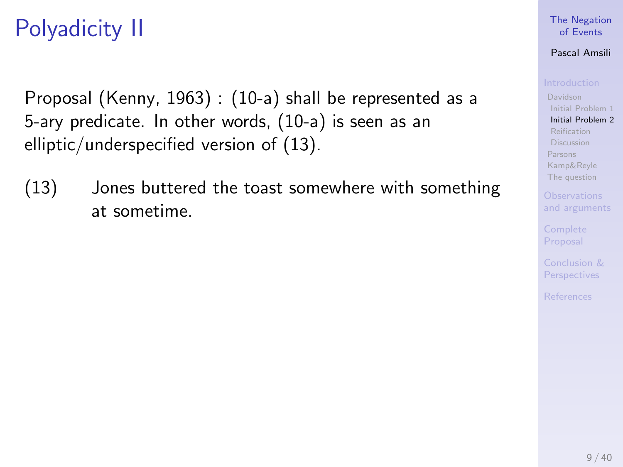# Polyadicity II

Proposal (Kenny, 1963) : [\(10-a\)](#page-22-2) shall be represented as a 5-ary predicate. In other words, [\(10-a\)](#page-22-2) is seen as an elliptic/underspecified version of [\(13\).](#page-27-0)

<span id="page-27-1"></span><span id="page-27-0"></span>(13) Jones buttered the toast somewhere with something at sometime.

#### [The Negation](#page-0-0) of Events

#### Pascal Amsili

[Davidson](#page-6-0) [Initial Problem 1](#page-6-0) [Initial Problem 2](#page-22-0) [Reification](#page-36-0) [Discussion](#page-38-0) [Parsons](#page-46-0)

[Kamp&Reyle](#page-53-0) [The question](#page-60-0)

[and arguments](#page-63-0)

Proposal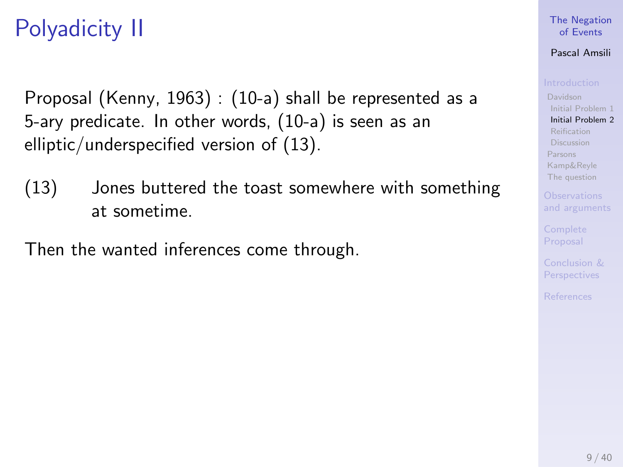# Polyadicity II

Proposal (Kenny, 1963) : [\(10-a\)](#page-22-2) shall be represented as a 5-ary predicate. In other words, [\(10-a\)](#page-22-2) is seen as an elliptic/underspecified version of [\(13\).](#page-27-0)

(13) Jones buttered the toast somewhere with something at sometime.

Then the wanted inferences come through.

#### [The Negation](#page-0-0) of Events

#### Pascal Amsili

[Davidson](#page-6-0) [Initial Problem 1](#page-6-0) [Initial Problem 2](#page-22-0) [Reification](#page-36-0) [Discussion](#page-38-0) [Parsons](#page-46-0) [Kamp&Reyle](#page-53-0)

[The question](#page-60-0) [and arguments](#page-63-0)

Proposal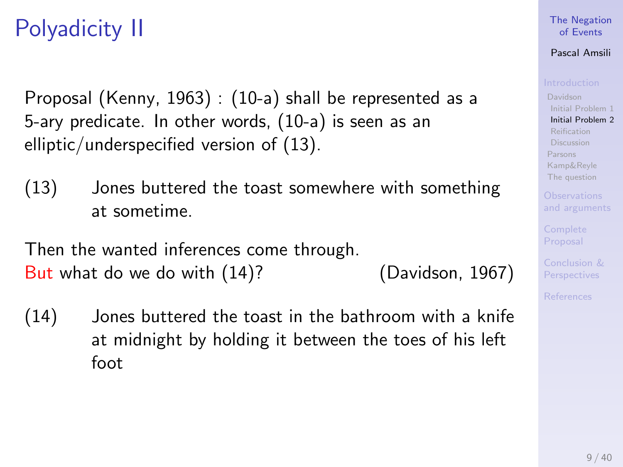# Polyadicity II

Proposal (Kenny, 1963) : [\(10-a\)](#page-22-2) shall be represented as a 5-ary predicate. In other words, [\(10-a\)](#page-22-2) is seen as an elliptic/underspecified version of [\(13\).](#page-27-0)

(13) Jones buttered the toast somewhere with something at sometime.

Then the wanted inferences come through. But what do we do with [\(14\)?](#page-27-1) (Davidson, 1967)

(14) Jones buttered the toast in the bathroom with a knife at midnight by holding it between the toes of his left foot

### [The Negation](#page-0-0) of Events

### Pascal Amsili

[Davidson](#page-6-0) [Initial Problem 1](#page-6-0) [Initial Problem 2](#page-22-0) [Discussion](#page-38-0) [Parsons](#page-46-0) [Kamp&Reyle](#page-53-0) [The question](#page-60-0)

[and arguments](#page-63-0)

Proposal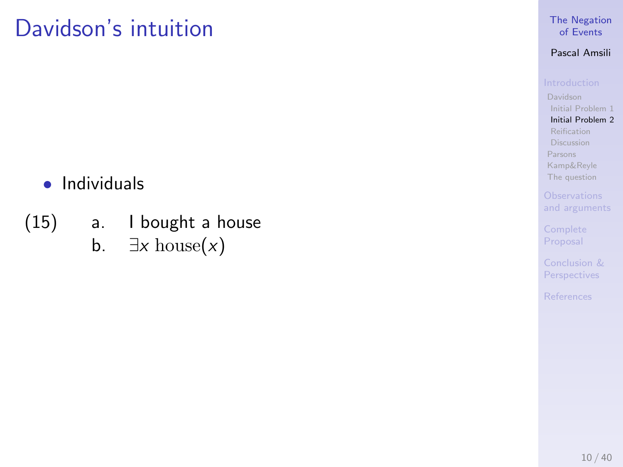- Individuals
- (15) a. I bought a house b.  $\exists x \text{ house}(x)$

#### [The Negation](#page-0-0) of Events

### Pascal Amsili

[Initial Problem 1](#page-6-0) [Initial Problem 2](#page-22-0) [Reification](#page-36-0) [Discussion](#page-38-0) [Parsons](#page-46-0)

[Kamp&Reyle](#page-53-0) [The question](#page-60-0)

Proposal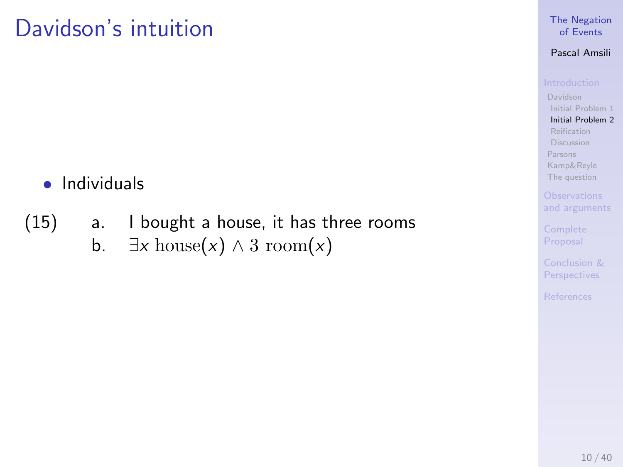### • Individuals

(15) a. I bought a house, it has three rooms b.  $\exists x \text{ house}(x) \land 3\text{room}(x)$ 

### [The Negation](#page-0-0) of Events

### Pascal Amsili

[Initial Problem 1](#page-6-0) [Initial Problem 2](#page-22-0) [Reification](#page-36-0) [Discussion](#page-38-0) [Parsons](#page-46-0)

[Kamp&Reyle](#page-53-0) [The question](#page-60-0)

[and arguments](#page-63-0)

Proposal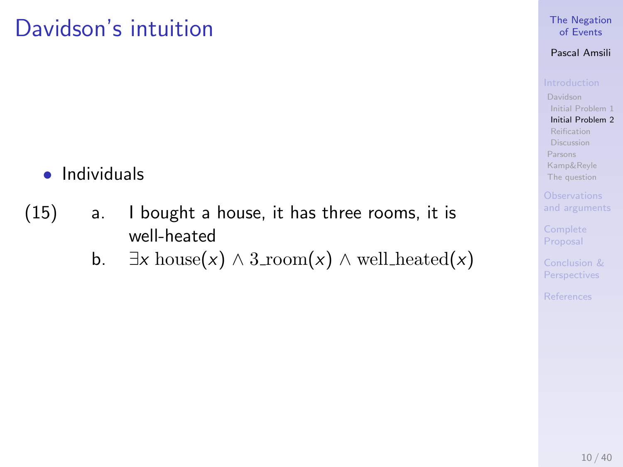- Individuals
- (15) a. I bought a house, it has three rooms, it is well-heated
	- b.  $\exists x \text{ house}(x) \land 3\text{room}(x) \land \text{well heated}(x)$

#### [The Negation](#page-0-0) of Events

### Pascal Amsili

[Initial Problem 1](#page-6-0) [Initial Problem 2](#page-22-0) [Reification](#page-36-0) [Discussion](#page-38-0) [Parsons](#page-46-0) [Kamp&Reyle](#page-53-0) [The question](#page-60-0)

[and arguments](#page-63-0)

Proposal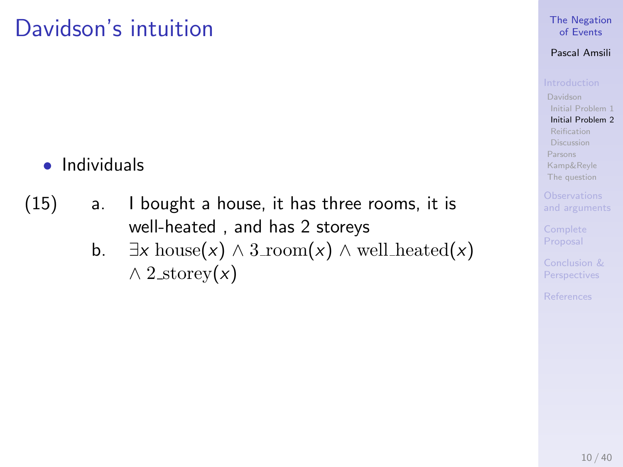- Individuals
- (15) a. I bought a house, it has three rooms, it is well-heated , and has 2 storeys
	- b.  $\exists x \text{ house}(x) \land 3\text{room}(x) \land \text{well heated}(x)$  $\wedge$  2\_storey(x)

#### [The Negation](#page-0-0) of Events

#### Pascal Amsili

[Davidson](#page-6-0) [Initial Problem 1](#page-6-0) [Initial Problem 2](#page-22-0) [Reification](#page-36-0) [Discussion](#page-38-0) [Parsons](#page-46-0) [Kamp&Reyle](#page-53-0)

[The question](#page-60-0) [and arguments](#page-63-0)

Proposal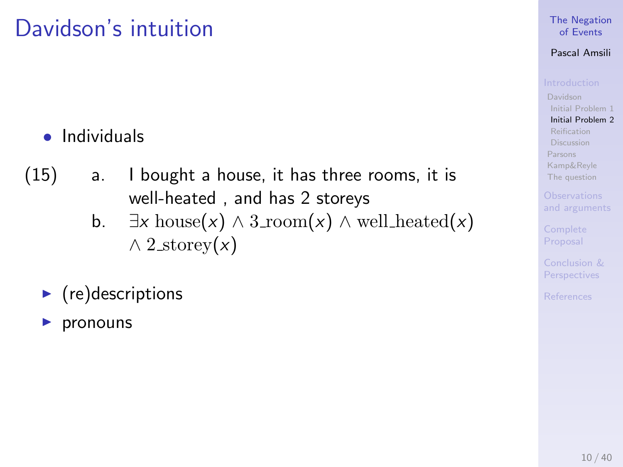### • Individuals

- (15) a. I bought a house, it has three rooms, it is well-heated , and has 2 storeys
	- b.  $\exists x \text{ house}(x) \land 3\text{room}(x) \land \text{well heated}(x)$  $\wedge$  2\_storey(x)
	- $\blacktriangleright$  (re)descriptions
	- pronouns

#### [The Negation](#page-0-0) of Events

### Pascal Amsili

[Davidson](#page-6-0) [Initial Problem 1](#page-6-0) [Initial Problem 2](#page-22-0) [Reification](#page-36-0) [Discussion](#page-38-0) [Parsons](#page-46-0) [Kamp&Reyle](#page-53-0) [The question](#page-60-0)

[and arguments](#page-63-0)

Proposal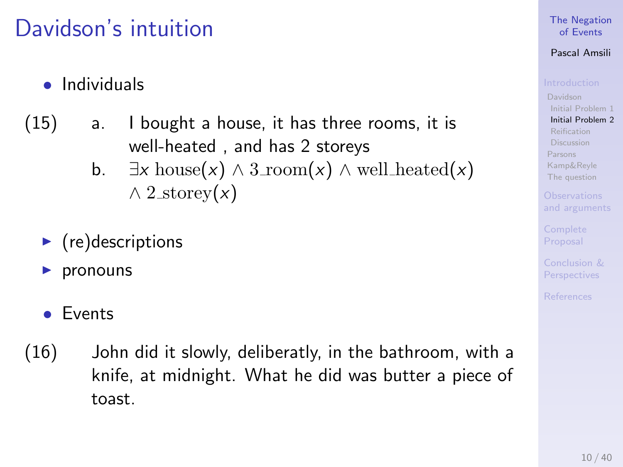- Individuals
- (15) a. I bought a house, it has three rooms, it is well-heated , and has 2 storeys
	- b.  $\exists x \text{ house}(x) \wedge 3\text{room}(x) \wedge \text{well heated}(x)$  $\wedge$  2\_storey(x)
	- $\blacktriangleright$  (re)descriptions
	- pronouns
	- Events
- (16) John did it slowly, deliberatly, in the bathroom, with a knife, at midnight. What he did was butter a piece of toast.

#### [The Negation](#page-0-0) of Events

### Pascal Amsili

[Davidson](#page-6-0) [Initial Problem 1](#page-6-0) [Initial Problem 2](#page-22-0)

[Discussion](#page-38-0) [Parsons](#page-46-0) [Kamp&Reyle](#page-53-0) [The question](#page-60-0)

[and arguments](#page-63-0)

Proposal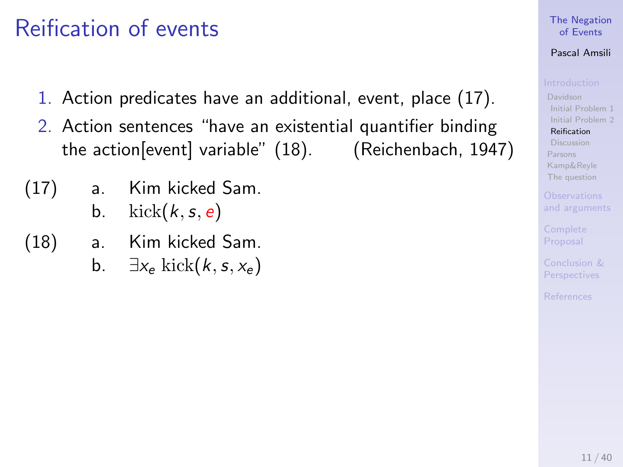## <span id="page-36-0"></span>Reification of events

- 1. Action predicates have an additional, event, place (17).
- 2. Action sentences "have an existential quantifier binding the action[event] variable" (18). (Reichenbach, 1947)
- (17) a. Kim kicked Sam. b.  $kick(k, s, e)$
- (18) a. Kim kicked Sam.
	- b.  $\exists x_e \text{ kick}(k, s, x_e)$

## [The Negation](#page-0-0) of Events

## Pascal Amsili

[Davidson](#page-6-0) [Initial Problem 1](#page-6-0) [Initial Problem 2](#page-22-0)

[Reification](#page-36-0) [Discussion](#page-38-0) [Parsons](#page-46-0) [Kamp&Reyle](#page-53-0) [The question](#page-60-0)

[and arguments](#page-63-0)

Proposal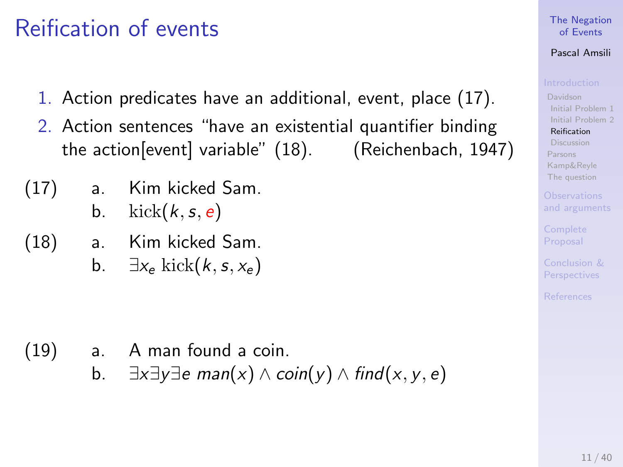## Reification of events

- 1. Action predicates have an additional, event, place (17).
- 2. Action sentences "have an existential quantifier binding the action[event] variable" (18). (Reichenbach, 1947)
- (17) a. Kim kicked Sam. b.  $kick(k, s, e)$
- (18) a. Kim kicked Sam.
	- b.  $\exists x_e \text{ kick}(k, s, x_e)$

- (19) a. A man found a coin.
	- b.  $\exists x \exists y \exists e \text{ man}(x) \land \text{coin}(y) \land \text{find}(x, y, e)$

## [The Negation](#page-0-0) of Events

## Pascal Amsili

[Davidson](#page-6-0) [Initial Problem 1](#page-6-0) [Initial Problem 2](#page-22-0) [Reification](#page-36-0)

[Discussion](#page-38-0) [Parsons](#page-46-0) [Kamp&Reyle](#page-53-0) [The question](#page-60-0)

[and arguments](#page-63-0)

Proposal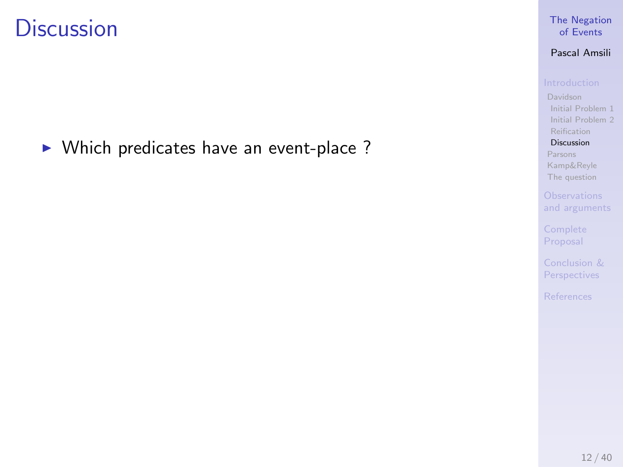<span id="page-38-0"></span> $\triangleright$  Which predicates have an event-place ?

## [The Negation](#page-0-0) of Events

## Pascal Amsili

[Initial Problem 1](#page-6-0) [Initial Problem 2](#page-22-0) [Reification](#page-36-0)

## [Discussion](#page-38-0)

[Parsons](#page-46-0) [Kamp&Reyle](#page-53-0) [The question](#page-60-0)

Proposal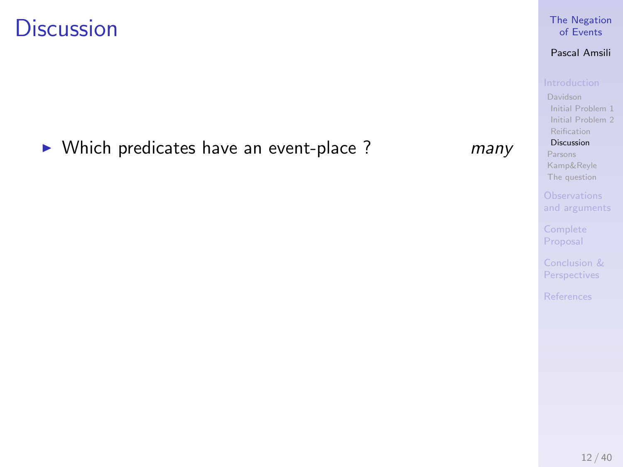$\triangleright$  Which predicates have an event-place ? many

### [Discussion](#page-38-0) [Parsons](#page-46-0) [Kamp&Reyle](#page-53-0) [The question](#page-60-0)

[Initial Problem 1](#page-6-0) [Initial Problem 2](#page-22-0) [Reification](#page-36-0)

Proposal

Perspectives

## [The Negation](#page-0-0) of Events Pascal Amsili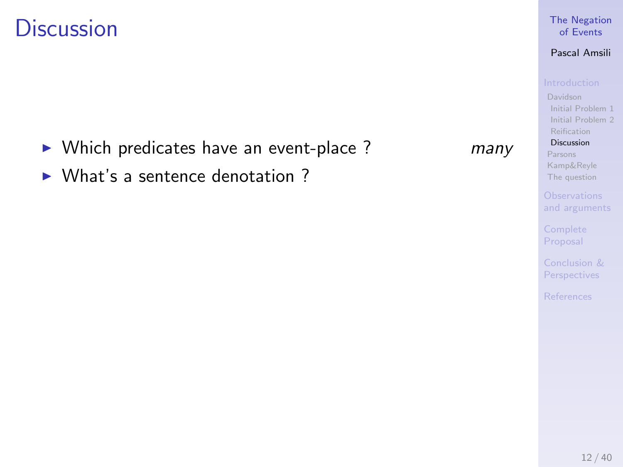- $\triangleright$  Which predicates have an event-place ? many
- $\triangleright$  What's a sentence denotation ?

### [The Negation](#page-0-0) of Events

## Pascal Amsili

[Initial Problem 1](#page-6-0) [Initial Problem 2](#page-22-0) [Reification](#page-36-0)

## [Discussion](#page-38-0)

[Parsons](#page-46-0) [Kamp&Reyle](#page-53-0) [The question](#page-60-0)

Proposal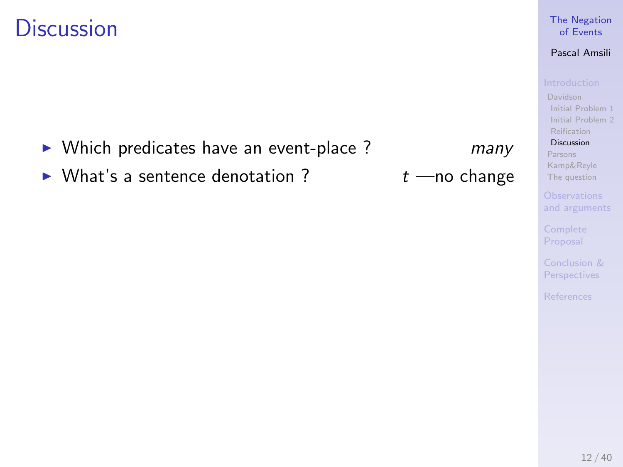- $\triangleright$  Which predicates have an event-place ? many
- $\triangleright$  What's a sentence denotation ?  $t$  —no change

### [The Negation](#page-0-0) of Events

## Pascal Amsili

[Initial Problem 1](#page-6-0) [Initial Problem 2](#page-22-0) [Reification](#page-36-0)

[Discussion](#page-38-0)

[Parsons](#page-46-0) [Kamp&Reyle](#page-53-0) [The question](#page-60-0)

Proposal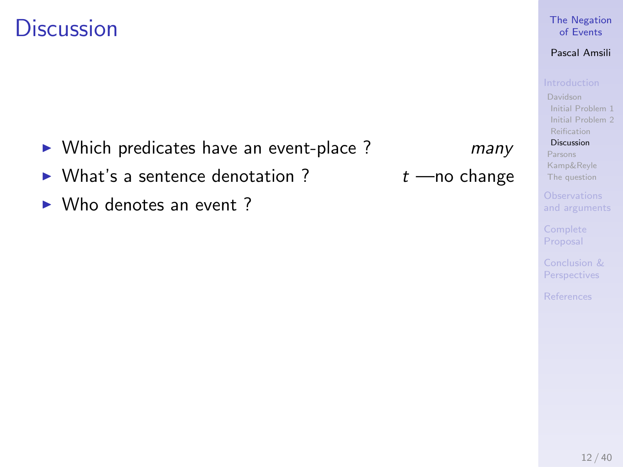- $\triangleright$  Which predicates have an event-place ? many
- $\triangleright$  What's a sentence denotation ?  $t$  —no change
- $\triangleright$  Who denotes an event ?

## [The Negation](#page-0-0) of Events

## Pascal Amsili

[Initial Problem 1](#page-6-0) [Initial Problem 2](#page-22-0) [Reification](#page-36-0)

[Discussion](#page-38-0)

[Parsons](#page-46-0) [Kamp&Reyle](#page-53-0) [The question](#page-60-0)

[and arguments](#page-63-0)

Proposal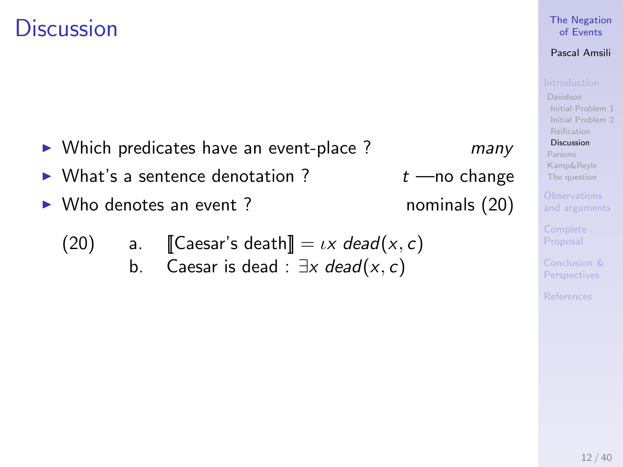- $\triangleright$  Which predicates have an event-place ? many
- $\triangleright$  What's a sentence denotation ?  $t$  —no change
- ▶ Who denotes an event ? nominals (20)

(20) a. [Caesar's death] = 
$$
ix
$$
 dead( $x$ ,  $c$ )  
b. Caesar is dead :  $\exists x$  dead( $x$ ,  $c$ )

## [The Negation](#page-0-0) of Events

## Pascal Amsili

[Initial Problem 1](#page-6-0) [Initial Problem 2](#page-22-0) [Reification](#page-36-0)

[Discussion](#page-38-0)

[Parsons](#page-46-0) [Kamp&Reyle](#page-53-0) [The question](#page-60-0)

[and arguments](#page-63-0)

Proposal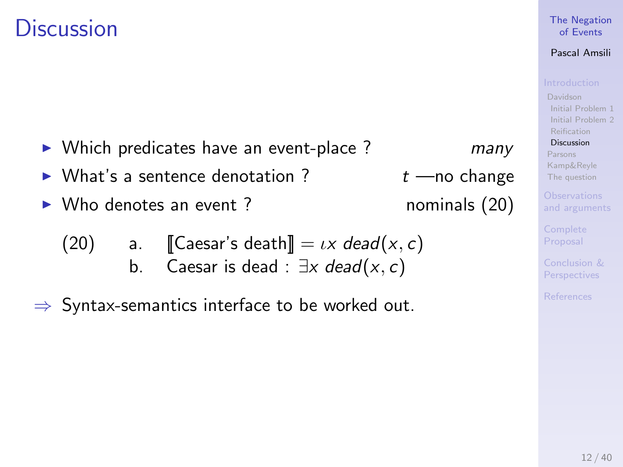- $\triangleright$  Which predicates have an event-place ? many
- $\triangleright$  What's a sentence denotation ?  $t$  —no change
- ▶ Who denotes an event ? nominals (20)
	- (20) a.  $\operatorname{Caesar's death} = \iota x \text{ dead}(x, c)$ b. Caesar is dead :  $\exists x \text{ dead}(x, c)$
- $\Rightarrow$  Syntax-semantics interface to be worked out.

## [The Negation](#page-0-0) of Events

## Pascal Amsili

[Davidson](#page-6-0) [Initial Problem 1](#page-6-0) [Initial Problem 2](#page-22-0) [Reification](#page-36-0)

[Discussion](#page-38-0)

[Parsons](#page-46-0) [Kamp&Reyle](#page-53-0) [The question](#page-60-0)

[and arguments](#page-63-0)

Proposal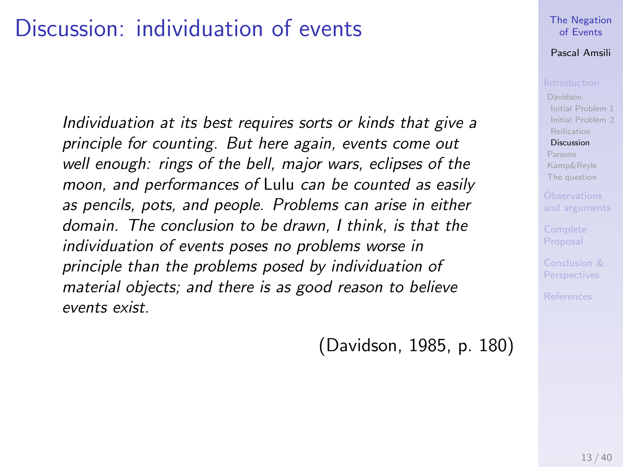## Discussion: individuation of events

Individuation at its best requires sorts or kinds that give a principle for counting. But here again, events come out well enough: rings of the bell, major wars, eclipses of the moon, and performances of Lulu can be counted as easily as pencils, pots, and people. Problems can arise in either domain. The conclusion to be drawn, I think, is that the individuation of events poses no problems worse in principle than the problems posed by individuation of material objects; and there is as good reason to believe events exist.

(Davidson, 1985, p. 180)

### [The Negation](#page-0-0) of Events

### Pascal Amsili

[Davidson](#page-6-0) [Initial Problem 1](#page-6-0) [Initial Problem 2](#page-22-0) [Reification](#page-36-0)

### [Discussion](#page-38-0)

[Parsons](#page-46-0) [Kamp&Reyle](#page-53-0) [The question](#page-60-0)

[and arguments](#page-63-0)

Proposal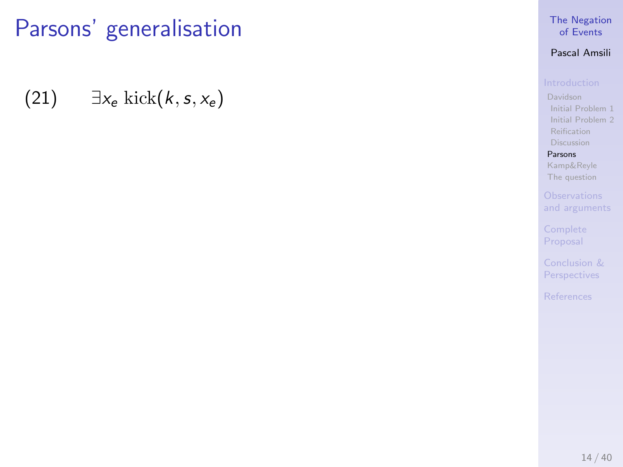<span id="page-46-0"></span>(21)  $\exists x_e \text{ kick}(k, s, x_e)$ 

## [The Negation](#page-0-0) of Events

## Pascal Amsili

[Initial Problem 1](#page-6-0) [Initial Problem 2](#page-22-0) [Reification](#page-36-0) [Discussion](#page-38-0)

[Parsons](#page-46-0) [Kamp&Reyle](#page-53-0) [The question](#page-60-0)

Proposal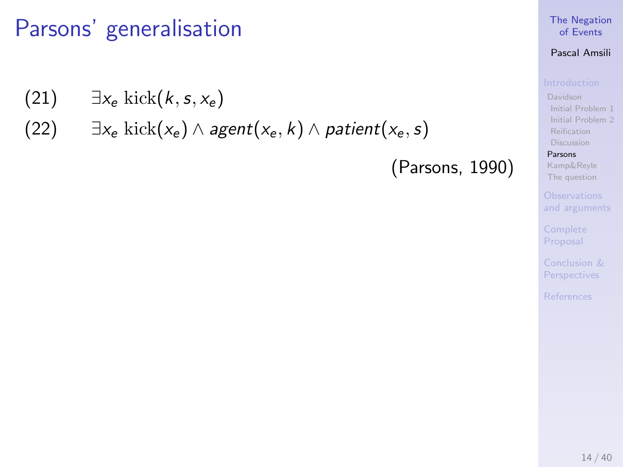- (21)  $\exists x_e \text{ kick}(k, s, x_e)$
- (22)  $\exists x_e \text{ kick}(x_e) \wedge agent(x_e, k) \wedge patient(x_e, s)$

(Parsons, 1990)

### [The Negation](#page-0-0) of Events

## Pascal Amsili

[Initial Problem 1](#page-6-0) [Initial Problem 2](#page-22-0) [Reification](#page-36-0) [Discussion](#page-38-0)

### [Parsons](#page-46-0)

[Kamp&Reyle](#page-53-0) [The question](#page-60-0)

[and arguments](#page-63-0)

Proposal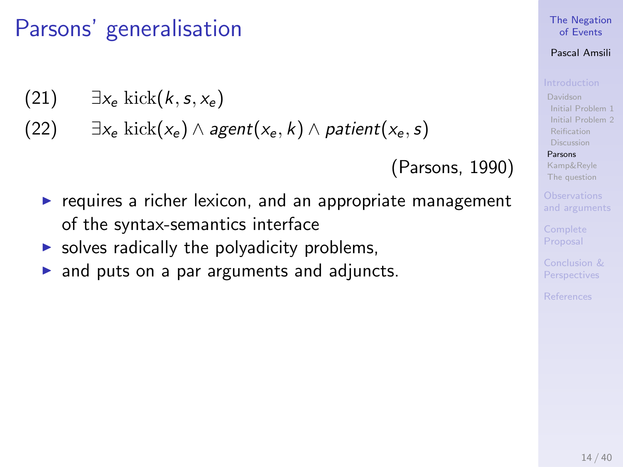- (21)  $\exists x_e \text{ kick}(k, s, x_e)$
- (22)  $\exists x_e \text{ kick}(x_e) \wedge agent(x_e, k) \wedge patient(x_e, s)$

(Parsons, 1990)

- $\triangleright$  requires a richer lexicon, and an appropriate management of the syntax-semantics interface
- $\triangleright$  solves radically the polyadicity problems,
- $\triangleright$  and puts on a par arguments and adjuncts.

### [The Negation](#page-0-0) of Events

## Pascal Amsili

[Davidson](#page-6-0) [Initial Problem 1](#page-6-0) [Initial Problem 2](#page-22-0) [Reification](#page-36-0) [Discussion](#page-38-0)

### [Parsons](#page-46-0)

[Kamp&Reyle](#page-53-0) [The question](#page-60-0)

[and arguments](#page-63-0)

Proposal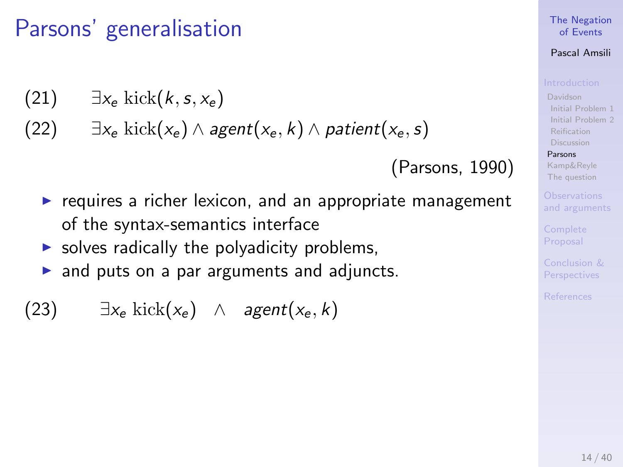$$
(21) \qquad \exists x_e \; \mathrm{kick}(k,s,x_e)
$$

(22) 
$$
\exists x_e \text{ kick}(x_e) \land agent(x_e, k) \land patient(x_e, s)
$$

(Parsons, 1990)

- $\blacktriangleright$  requires a richer lexicon, and an appropriate management of the syntax-semantics interface
- $\triangleright$  solves radically the polyadicity problems,
- $\triangleright$  and puts on a par arguments and adjuncts.

(23) 
$$
\exists x_e \text{ kick}(x_e) \land agent(x_e, k)
$$

### [The Negation](#page-0-0) of Events

## Pascal Amsili

[Davidson](#page-6-0) [Initial Problem 1](#page-6-0) [Initial Problem 2](#page-22-0) [Reification](#page-36-0) [Discussion](#page-38-0)

### [Parsons](#page-46-0)

[Kamp&Reyle](#page-53-0) [The question](#page-60-0)

[and arguments](#page-63-0)

Proposal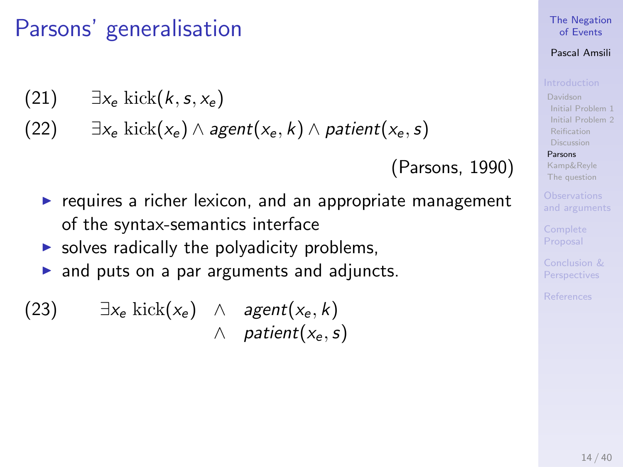$$
(21) \qquad \exists x_e \; \mathrm{kick}(k,s,x_e)
$$

(22)  $\exists x_e \text{ kick}(x_e) \wedge agent(x_e, k) \wedge patient(x_e, s)$ 

(Parsons, 1990)

- $\triangleright$  requires a richer lexicon, and an appropriate management of the syntax-semantics interface
- $\triangleright$  solves radically the polyadicity problems,
- $\triangleright$  and puts on a par arguments and adjuncts.

(23) 
$$
\exists x_e \text{ kick}(x_e) \land agent(x_e, k)
$$
  
 $\land \text{ patient}(x_e, s)$ 

### [The Negation](#page-0-0) of Events

## Pascal Amsili

[Davidson](#page-6-0) [Initial Problem 1](#page-6-0) [Initial Problem 2](#page-22-0) [Reification](#page-36-0) [Discussion](#page-38-0)

### [Parsons](#page-46-0)

[Kamp&Reyle](#page-53-0) [The question](#page-60-0)

[and arguments](#page-63-0)

Proposal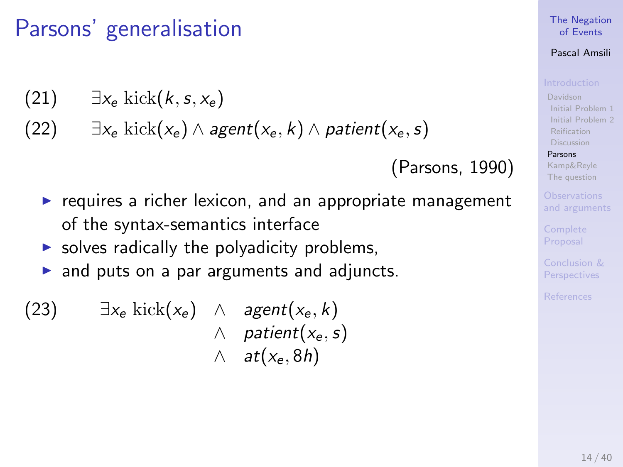$$
(21) \qquad \exists x_e \; \mathrm{kick}(k,s,x_e)
$$

(22)  $\exists x_e \text{ kick}(x_e) \wedge agent(x_e, k) \wedge patient(x_e, s)$ 

(Parsons, 1990)

- $\triangleright$  requires a richer lexicon, and an appropriate management of the syntax-semantics interface
- $\triangleright$  solves radically the polyadicity problems,
- $\triangleright$  and puts on a par arguments and adjuncts.

(23) 
$$
\exists x_e \text{ kick}(x_e) \land agent(x_e, k)
$$
  
 $\land \text{ patient}(x_e, s)$   
 $\land \text{ at}(x_e, 8h)$ 

### [The Negation](#page-0-0) of Events

## Pascal Amsili

[Davidson](#page-6-0) [Initial Problem 1](#page-6-0) [Initial Problem 2](#page-22-0) [Reification](#page-36-0) [Discussion](#page-38-0)

### [Parsons](#page-46-0)

[Kamp&Reyle](#page-53-0) [The question](#page-60-0)

[and arguments](#page-63-0)

Proposal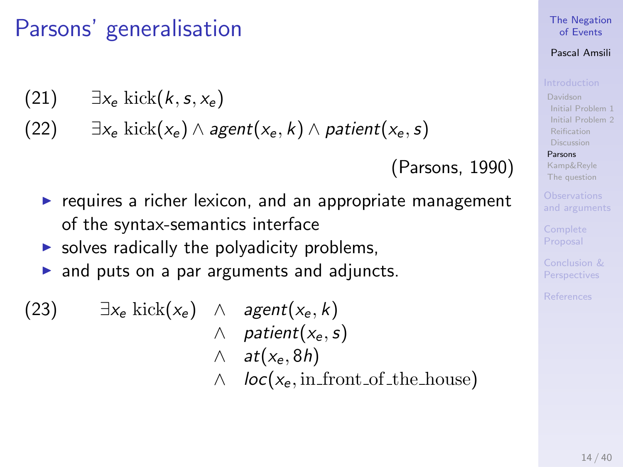$$
(21) \qquad \exists x_e \; \mathrm{kick}(k,s,x_e)
$$

(22) 
$$
\exists x_e \text{ kick}(x_e) \land agent(x_e, k) \land patient(x_e, s)
$$

(Parsons, 1990)

- $\triangleright$  requires a richer lexicon, and an appropriate management of the syntax-semantics interface
- $\triangleright$  solves radically the polyadicity problems,
- $\triangleright$  and puts on a par arguments and adjuncts.
- (23)  $\exists x_e \text{ kick}(x_e) \land agent(x_e, k)$  $\wedge$  patient $(x_e, s)$  $\wedge$  at( $x_e$ , 8h)  $\wedge$  loc( $x_e$ , in front of the house)

### [The Negation](#page-0-0) of Events

## Pascal Amsili

[Davidson](#page-6-0) [Initial Problem 1](#page-6-0) [Initial Problem 2](#page-22-0) [Discussion](#page-38-0)

### [Parsons](#page-46-0)

[Kamp&Reyle](#page-53-0) [The question](#page-60-0)

[and arguments](#page-63-0)

Proposal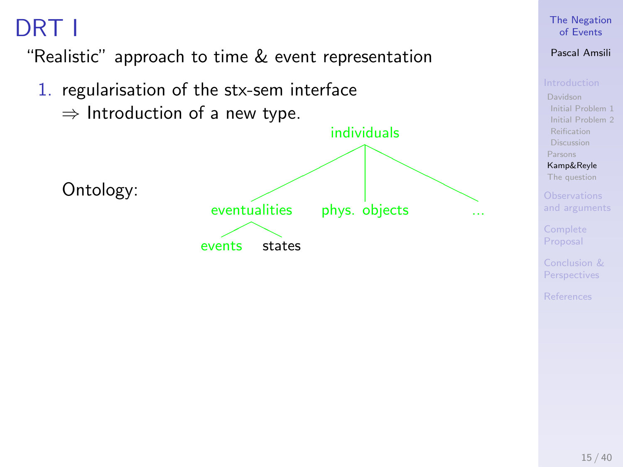## <span id="page-53-0"></span>DRT I

"Realistic" approach to time & event representation

1. regularisation of the stx-sem interface  $\Rightarrow$  Introduction of a new type. Ontology: individuals ✟✟ ✟✟✟ ✟✟  $\diagup$  $\diagup$  $\diagup$  $\bar{\mathbb{N}}$ eventualities  $\overline{\phantom{a}}$ events states phys. objects

## [The Negation](#page-0-0) of Events

## Pascal Amsili

[Davidson](#page-6-0) [Initial Problem 1](#page-6-0) [Initial Problem 2](#page-22-0) [Reification](#page-36-0) [Discussion](#page-38-0) [Parsons](#page-46-0)

[Kamp&Reyle](#page-53-0) [The question](#page-60-0)

[and arguments](#page-63-0)

Proposal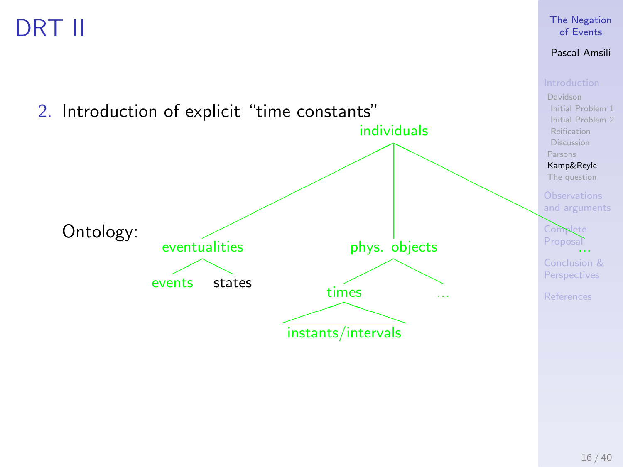## DRT II



[The Negation](#page-0-0) of Events Pascal Amsili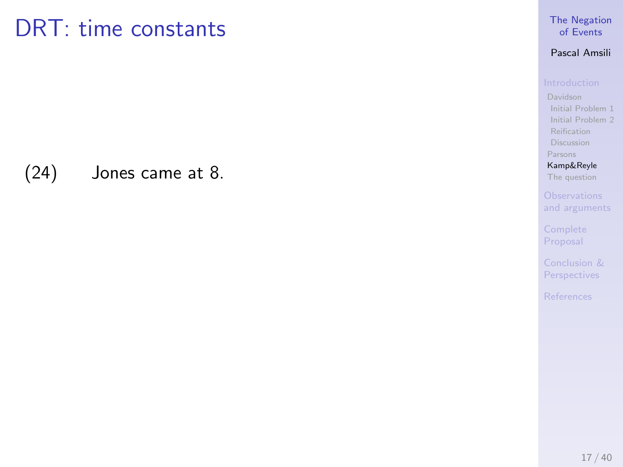(24) Jones came at 8.

## [The Negation](#page-0-0) of Events

## Pascal Amsili

[Initial Problem 1](#page-6-0) [Initial Problem 2](#page-22-0) [Reification](#page-36-0) [Discussion](#page-38-0) [Parsons](#page-46-0)

[Kamp&Reyle](#page-53-0) [The question](#page-60-0)

Proposal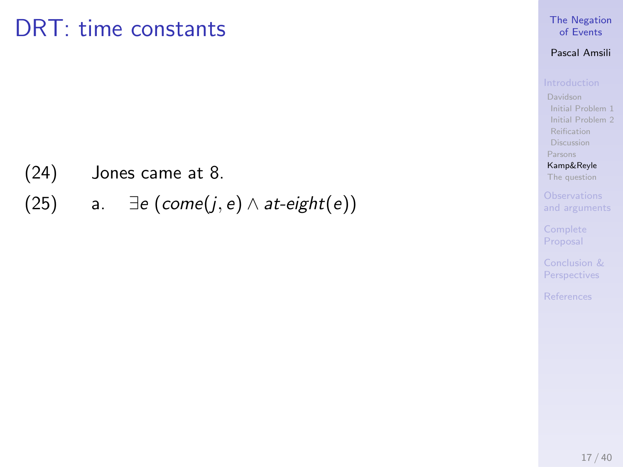(24) Jones came at 8.

(25) a.  $\exists e \ (come(j, e) \land at\text{-}eight(e))$ 

## [The Negation](#page-0-0) of Events

## Pascal Amsili

[Initial Problem 1](#page-6-0) [Initial Problem 2](#page-22-0) [Reification](#page-36-0) [Discussion](#page-38-0) [Parsons](#page-46-0)

[Kamp&Reyle](#page-53-0) [The question](#page-60-0)

Proposal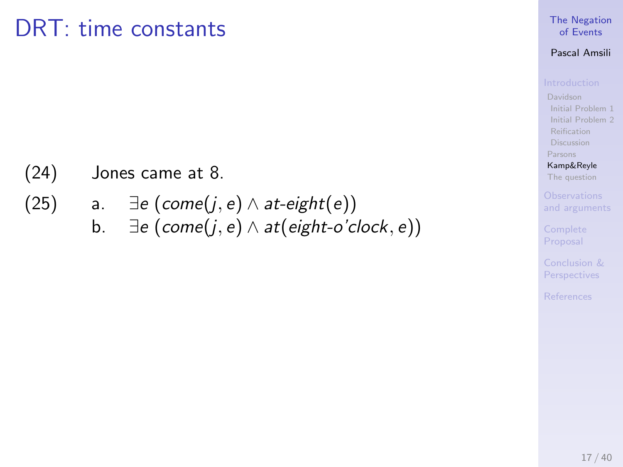- (24) Jones came at 8.
- (25) a.  $\exists e \ (come(j, e) \land at\text{-}eight(e))$ 
	- b.  $\exists e \, (come(j, e) \land at(eight-o'clock, e))$

## [The Negation](#page-0-0) of Events

## Pascal Amsili

[Initial Problem 1](#page-6-0) [Initial Problem 2](#page-22-0) [Reification](#page-36-0) [Discussion](#page-38-0) [Parsons](#page-46-0)

[Kamp&Reyle](#page-53-0) [The question](#page-60-0)

[and arguments](#page-63-0)

Proposal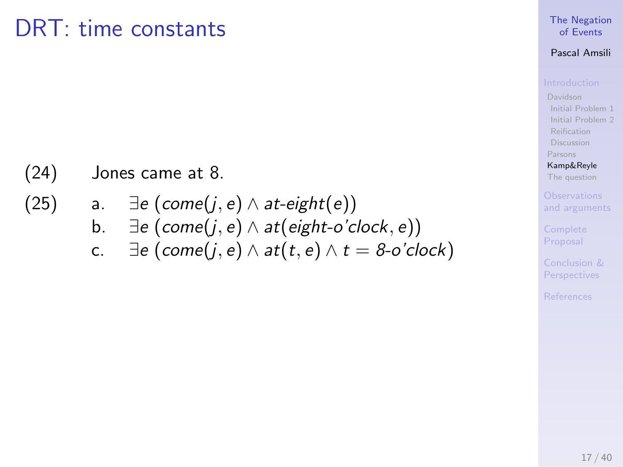- (24) Jones came at 8.
- (25) a.  $\exists e \, (come(j, e) \land at\text{-}eight(e))$ b.  $\exists e \, (come(j, e) \land at(eight-o'clock, e))$ c.  $\exists e \, (come(i, e) \land at(t, e) \land t = 8 \text{-} o' clock)$

### [The Negation](#page-0-0) of Events

## Pascal Amsili

[Davidson](#page-6-0) [Initial Problem 1](#page-6-0) [Initial Problem 2](#page-22-0) [Reification](#page-36-0) [Discussion](#page-38-0) [Parsons](#page-46-0)

[Kamp&Reyle](#page-53-0) [The question](#page-60-0)

[and arguments](#page-63-0)

Proposal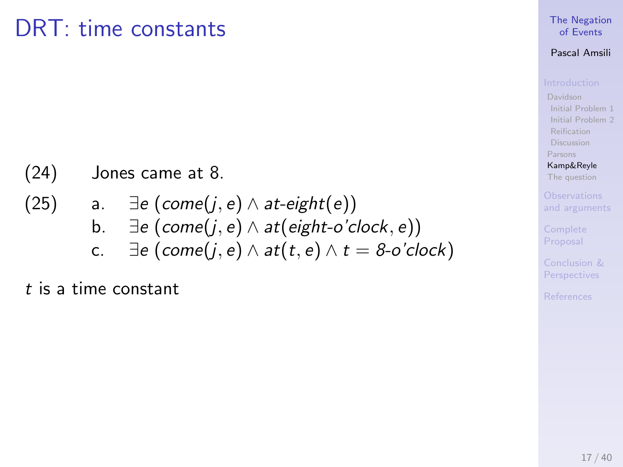(24) Jones came at 8.

(25) a. 
$$
\exists e \ (come(j, e) \land at-eight(e))
$$
  
b.  $\exists e \ (come(j, e) \land at(eight-o'clock, e))$   
c.  $\exists e \ (come(j, e) \land at(t, e) \land t = 8-o'clock)$ 

t is a time constant

## [The Negation](#page-0-0) of Events

## Pascal Amsili

[Initial Problem 1](#page-6-0) [Initial Problem 2](#page-22-0) [Reification](#page-36-0) [Discussion](#page-38-0) [Parsons](#page-46-0)

[Kamp&Reyle](#page-53-0) [The question](#page-60-0)

Proposal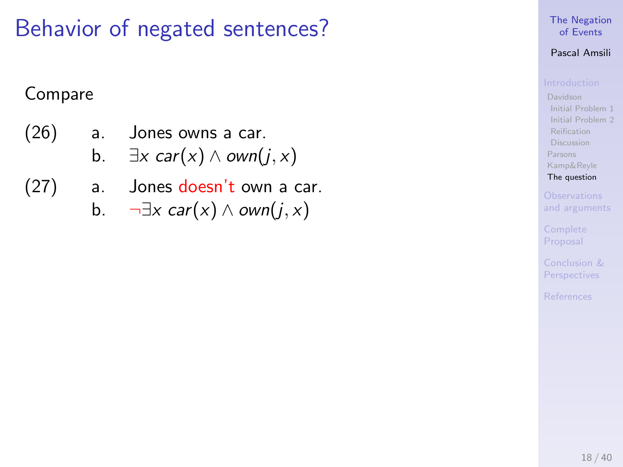## <span id="page-60-0"></span>Behavior of negated sentences?

## Compare

(26) a. Jones owns a car.

b. 
$$
\exists x \text{ car}(x) \land \text{own}(j, x)
$$

- (27) a. Jones doesn't own a car.
	- b.  $\neg \exists x \; \text{car}(x) \land \text{own}(j, x)$

## [The Negation](#page-0-0) of Events

## Pascal Amsili

[Initial Problem 1](#page-6-0) [Initial Problem 2](#page-22-0) [Reification](#page-36-0) **[Discussion](#page-38-0)** [Parsons](#page-46-0) [Kamp&Reyle](#page-53-0) [The question](#page-60-0)

[and arguments](#page-63-0)

Proposal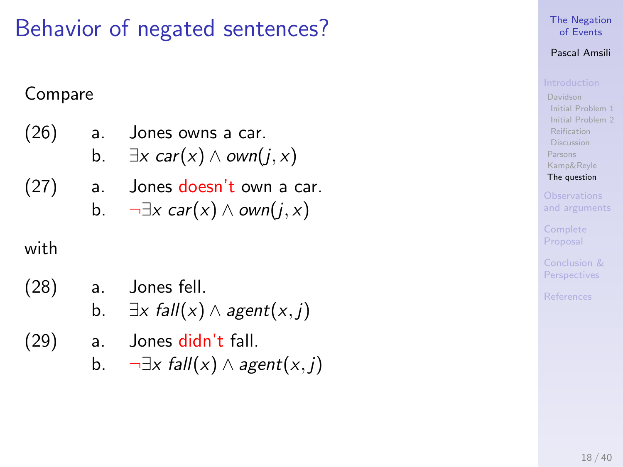## Behavior of negated sentences?

## Compare

- (26) a. Jones owns a car. b.  $\exists x \text{ car}(x) \land \text{own}(i, x)$
- (27) a. Jones doesn't own a car. b.  $\neg \exists x \; car(x) \land own(i, x)$

## with

- (28) a. Jones fell. b.  $\exists x \text{ fall}(x) \land \text{agent}(x, i)$
- (29) a. Jones didn't fall.
	- b.  $\neg \exists x \; fall(x) \land agent(x, j)$

## [The Negation](#page-0-0) of Events

## Pascal Amsili

[Davidson](#page-6-0) [Initial Problem 1](#page-6-0) [Initial Problem 2](#page-22-0) [Reification](#page-36-0) [Discussion](#page-38-0) [Parsons](#page-46-0) [Kamp&Reyle](#page-53-0) [The question](#page-60-0)

[and arguments](#page-63-0)

Proposal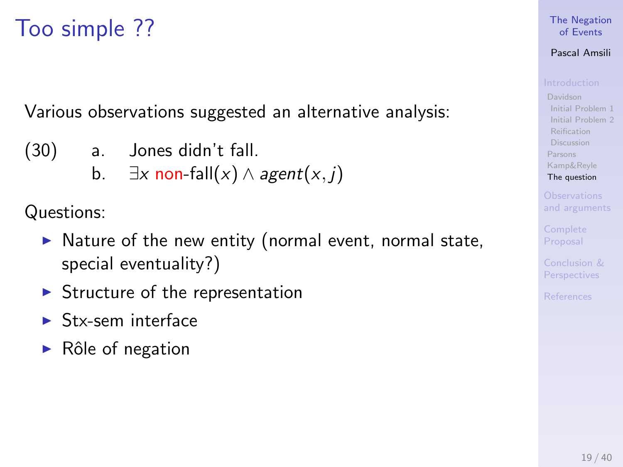## Too simple ??

Various observations suggested an alternative analysis:

- (30) a. Jones didn't fall.
	- b.  $\exists x \text{ non-fall}(x) \land agent(x, j)$

Questions:

- $\triangleright$  Nature of the new entity (normal event, normal state, special eventuality?)
- $\triangleright$  Structure of the representation
- $\blacktriangleright$  Stx-sem interface
- $\triangleright$  Rôle of negation

## [The Negation](#page-0-0) of Events

## Pascal Amsili

[Davidson](#page-6-0) [Initial Problem 1](#page-6-0) [Initial Problem 2](#page-22-0) [Reification](#page-36-0) [Discussion](#page-38-0) [Parsons](#page-46-0) [Kamp&Reyle](#page-53-0) [The question](#page-60-0)

[and arguments](#page-63-0)

Proposal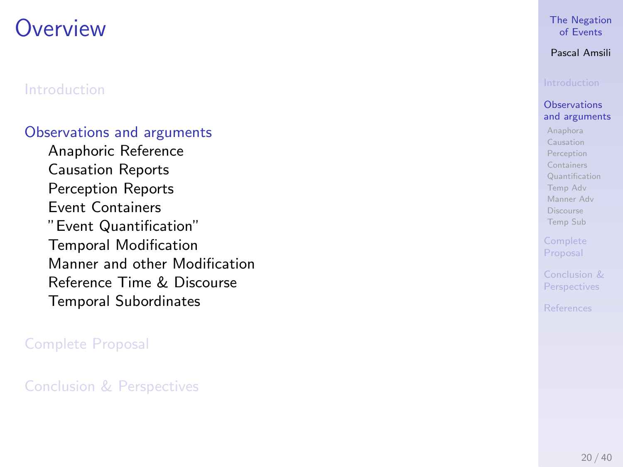## <span id="page-63-0"></span>**Overview**

## [Introduction](#page-5-0)

## [Observations and arguments](#page-63-0)

[Anaphoric Reference](#page-64-0) [Causation Reports](#page-65-0) [Perception Reports](#page-66-0) [Event Containers](#page-67-0) ["Event Quantification"](#page-68-0) [Temporal Modification](#page-73-0) [Manner and other Modification](#page-74-0) [Reference Time & Discourse](#page-75-0) [Temporal Subordinates](#page-76-0)

## [Complete Proposal](#page-79-0)

[Conclusion & Perspectives](#page-84-0)

## [The Negation](#page-0-0) of Events

## Pascal Amsili

### **Observations** [and arguments](#page-63-0)

[Anaphora](#page-64-0) [Causation](#page-65-0) [Perception](#page-66-0) [Containers](#page-67-0) [Quantification](#page-68-0) [Temp Adv](#page-73-0) [Manner Adv](#page-74-0) [Discourse](#page-75-0) [Temp Sub](#page-76-0)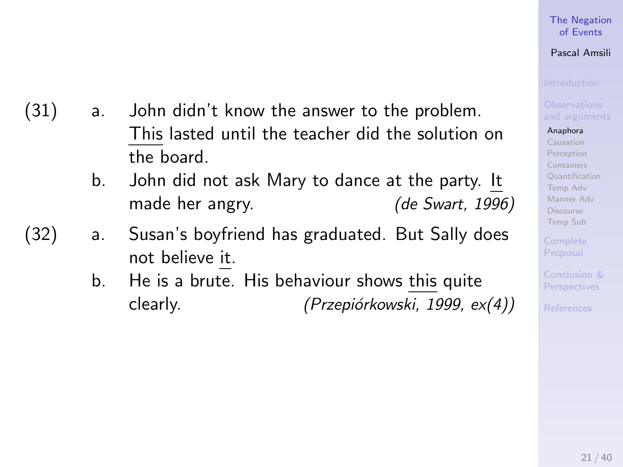## [The Negation](#page-0-0) of Events

## Pascal Amsili

### [Anaphora](#page-64-0)

[Causation](#page-65-0) [Perception](#page-66-0) [Containers](#page-67-0) [Quantification](#page-68-0) [Temp Adv](#page-73-0) [Manner Adv](#page-74-0) [Discourse](#page-75-0) [Temp Sub](#page-76-0)

<span id="page-64-0"></span>(31) a. John didn't know the answer to the problem. This lasted until the teacher did the solution on the board.

- b. John did not ask Mary to dance at the party. It made her angry. (de Swart, 1996)
- (32) a. Susan's boyfriend has graduated. But Sally does not believe it.
	- b. He is a brute. His behaviour shows this quite  $clearly.$  (Przepiórkowski, 1999,  $ex(4)$ )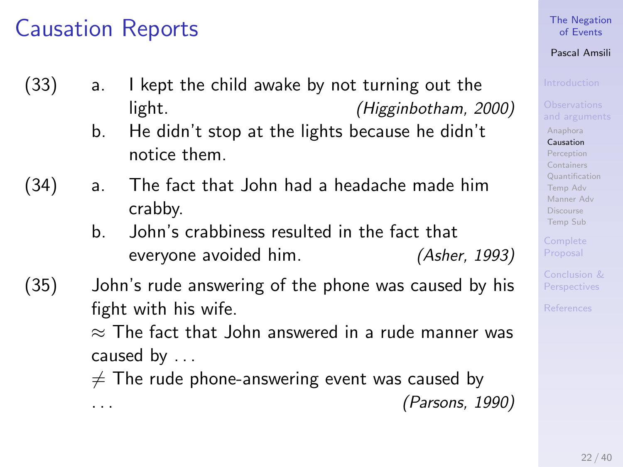## <span id="page-65-0"></span>Causation Reports

- (33) a. I kept the child awake by not turning out the light. (Higginbotham, 2000)
	- b. He didn't stop at the lights because he didn't notice them.
- (34) a. The fact that John had a headache made him crabby.
	- b. John's crabbiness resulted in the fact that everyone avoided him. (Asher, 1993)
- (35) John's rude answering of the phone was caused by his fight with his wife.

 $\approx$  The fact that John answered in a rude manner was caused by . . .

 $\neq$  The rude phone-answering event was caused by . . . (Parsons, 1990)

## [The Negation](#page-0-0) of Events

## Pascal Amsili

[Anaphora](#page-64-0)

[Causation](#page-65-0) [Perception](#page-66-0) [Containers](#page-67-0) [Quantification](#page-68-0)

[Temp Adv](#page-73-0) [Manner Adv](#page-74-0) [Discourse](#page-75-0) [Temp Sub](#page-76-0)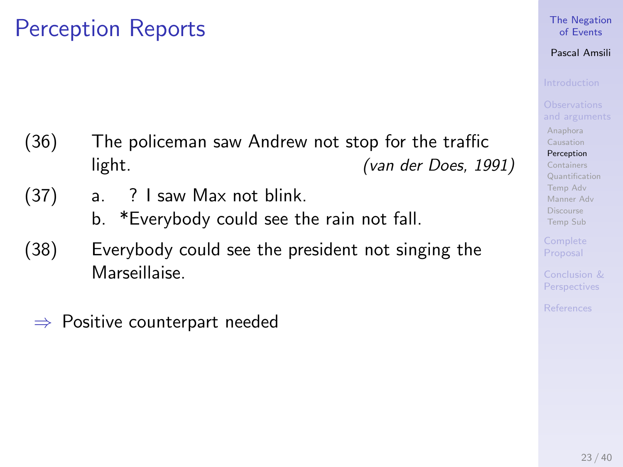## <span id="page-66-0"></span>Perception Reports

- (36) The policeman saw Andrew not stop for the traffic light. (van der Does, 1991)
- (37) a. ? I saw Max not blink.
	- b. \*Everybody could see the rain not fall.
- (38) Everybody could see the president not singing the Marseillaise.
	- $\Rightarrow$  Positive counterpart needed

## [The Negation](#page-0-0) of Events

## Pascal Amsili

[Anaphora](#page-64-0) [Causation](#page-65-0)

[Perception](#page-66-0)

[Containers](#page-67-0) [Quantification](#page-68-0) [Temp Adv](#page-73-0) [Manner Adv](#page-74-0) [Discourse](#page-75-0) [Temp Sub](#page-76-0)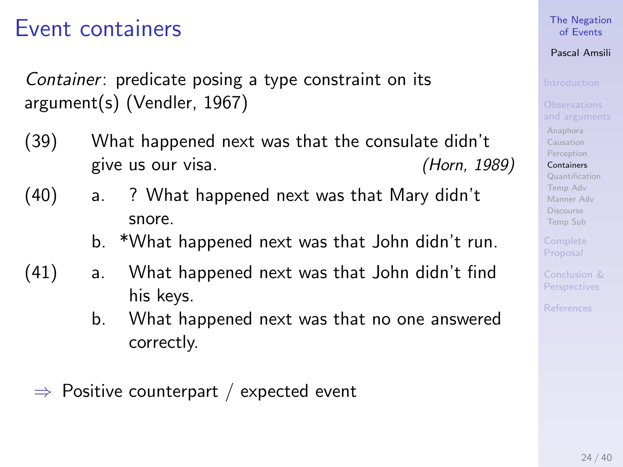## <span id="page-67-0"></span>Event containers

Container: predicate posing a type constraint on its argument(s) (Vendler, 1967)

- (39) What happened next was that the consulate didn't give us our visa. (Horn, 1989)
- (40) a. ? What happened next was that Mary didn't snore.
	- b. \*What happened next was that John didn't run.
- (41) a. What happened next was that John didn't find his keys.
	- b. What happened next was that no one answered correctly.
	- $\Rightarrow$  Positive counterpart / expected event

## [The Negation](#page-0-0) of Events

## Pascal Amsili

[Anaphora](#page-64-0) [Causation](#page-65-0) [Perception](#page-66-0) [Containers](#page-67-0)

[Quantification](#page-68-0) [Temp Adv](#page-73-0) [Manner Adv](#page-74-0) [Discourse](#page-75-0) [Temp Sub](#page-76-0)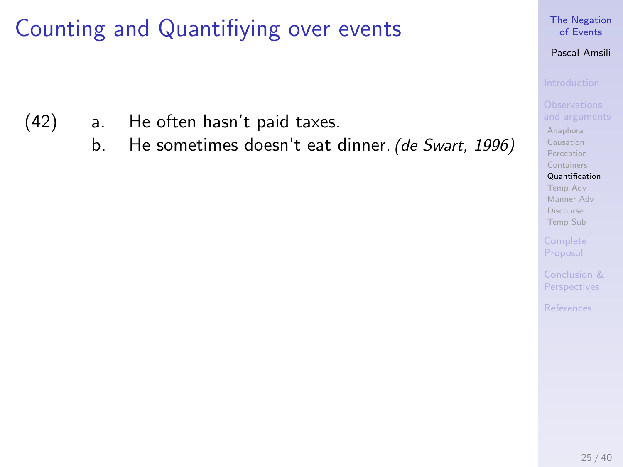- <span id="page-68-0"></span>(42) a. He often hasn't paid taxes.
	- b. He sometimes doesn't eat dinner. (de Swart, 1996)

## [The Negation](#page-0-0) of Events

## Pascal Amsili

[Anaphora](#page-64-0) [Causation](#page-65-0) [Perception](#page-66-0) [Containers](#page-67-0)

[Quantification](#page-68-0) [Temp Adv](#page-73-0) [Manner Adv](#page-74-0) [Discourse](#page-75-0) [Temp Sub](#page-76-0)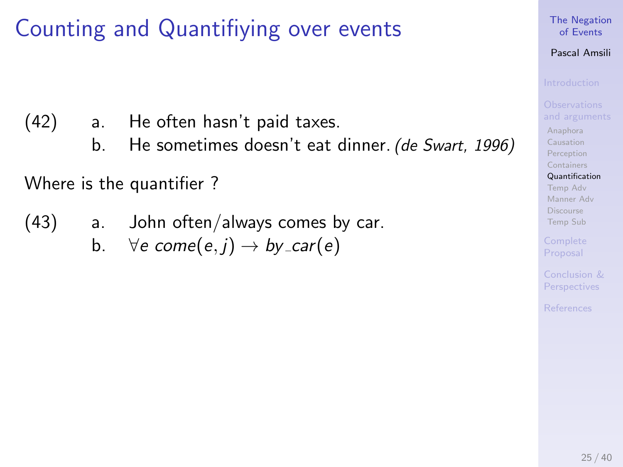(42) a. He often hasn't paid taxes.

b. He sometimes doesn't eat dinner. (de Swart, 1996)

Where is the quantifier ?

- (43) a. John often/always comes by car.
	- b.  $\forall e \text{ come}(e, i) \rightarrow by \text{ } -\text{car}(e)$

### [The Negation](#page-0-0) of Events

## Pascal Amsili

[Anaphora](#page-64-0) [Causation](#page-65-0) [Perception](#page-66-0) [Containers](#page-67-0) [Quantification](#page-68-0)

[Temp Adv](#page-73-0) [Manner Adv](#page-74-0) [Discourse](#page-75-0) [Temp Sub](#page-76-0)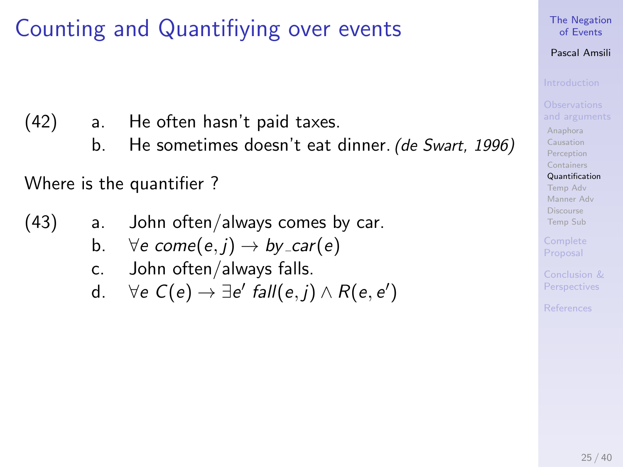(42) a. He often hasn't paid taxes.

b. He sometimes doesn't eat dinner. (de Swart, 1996)

Where is the quantifier ?

- (43) a. John often/always comes by car.
	- b.  $\forall e \text{ come}(e, i) \rightarrow by_{\mathsf{c}ar}(e)$
	- c. John often/always falls.
	- d.  $\forall e \ C(e) \rightarrow \exists e' \ fall(e,j) \land R(e,e')$

[The Negation](#page-0-0) of Events

## Pascal Amsili

[Anaphora](#page-64-0) [Causation](#page-65-0) [Perception](#page-66-0) [Containers](#page-67-0)

[Quantification](#page-68-0) [Temp Adv](#page-73-0) [Manner Adv](#page-74-0) [Discourse](#page-75-0) [Temp Sub](#page-76-0)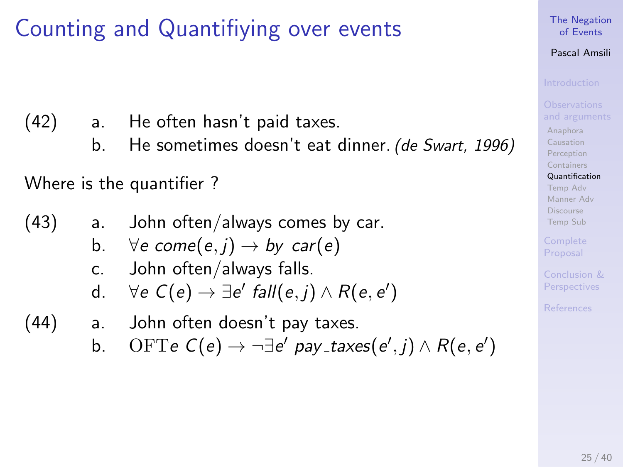(42) a. He often hasn't paid taxes.

b. He sometimes doesn't eat dinner. (de Swart, 1996)

Where is the quantifier ?

(43) a. John often/always comes by car.

- b.  $\forall e \text{ come}(e, i) \rightarrow by_{\mathsf{c}ar}(e)$
- c. John often/always falls.
- d.  $\forall e \ C(e) \rightarrow \exists e' \ fall(e,j) \land R(e,e')$
- (44) a. John often doesn't pay taxes.
	- b. OFTe  $C(e) \rightarrow \neg \exists e'$  pay\_taxes $(e', j) \wedge R(e, e')$

## [The Negation](#page-0-0) of Events

## Pascal Amsili

[Anaphora](#page-64-0) [Causation](#page-65-0) [Perception](#page-66-0) [Containers](#page-67-0) [Quantification](#page-68-0)

[Temp Adv](#page-73-0) [Manner Adv](#page-74-0) [Discourse](#page-75-0) [Temp Sub](#page-76-0)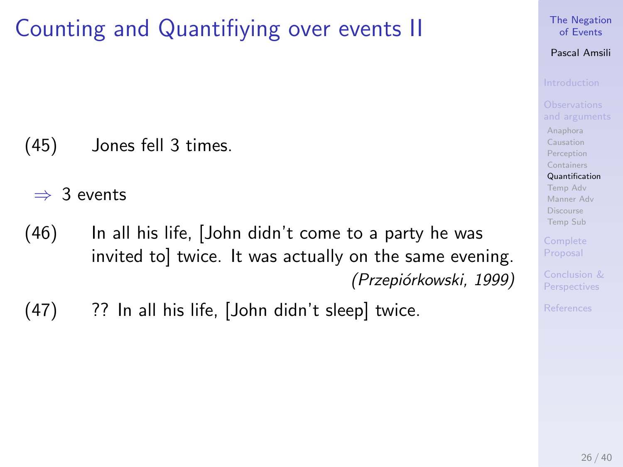# Counting and Quantifiying over events II

(45) Jones fell 3 times.

 $\Rightarrow$  3 events

- $(46)$  In all his life,  $[John didn't come to a party he was]$ invited to] twice. It was actually on the same evening. (Przepiórkowski, 1999)
- (47) ?? In all his life, [John didn't sleep] twice.

### [The Negation](#page-0-0) of Events

## Pascal Amsili

[Anaphora](#page-64-0) [Causation](#page-65-0) [Perception](#page-66-0) [Containers](#page-67-0)

[Quantification](#page-68-0) [Temp Adv](#page-73-0) [Manner Adv](#page-74-0) [Discourse](#page-75-0) [Temp Sub](#page-76-0)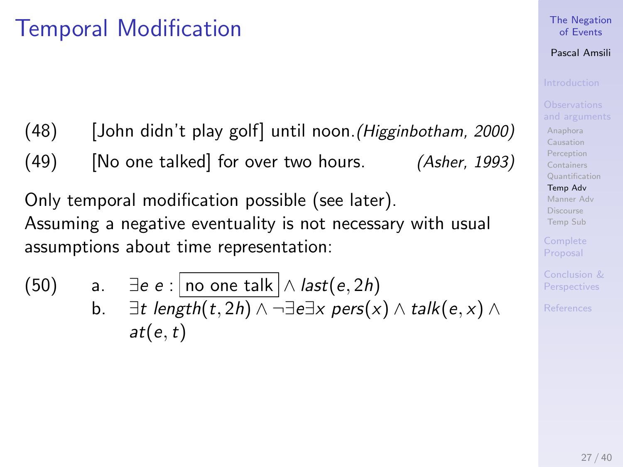# <span id="page-73-0"></span>Temporal Modification

(48) [John didn't play golf] until noon.(Higginbotham, 2000)

 $(49)$  [No one talked] for over two hours. (Asher, 1993)

Only temporal modification possible (see later). Assuming a negative eventuality is not necessary with usual assumptions about time representation:

(50) a. 
$$
\exists e e : \boxed{\text{no one talk}} \land \text{last}(e, 2h)
$$
  
b.  $\exists t \text{ length}(t, 2h) \land \neg \exists e \exists x \text{ pers}(x) \land \text{talk}(e, x) \land \text{alt}(e, t)$ 

### [The Negation](#page-0-0) of Events

## Pascal Amsili

[Anaphora](#page-64-0) [Causation](#page-65-0) [Perception](#page-66-0) [Containers](#page-67-0) [Quantification](#page-68-0) [Temp Adv](#page-73-0) [Manner Adv](#page-74-0) [Discourse](#page-75-0) [Temp Sub](#page-76-0)

Perspectives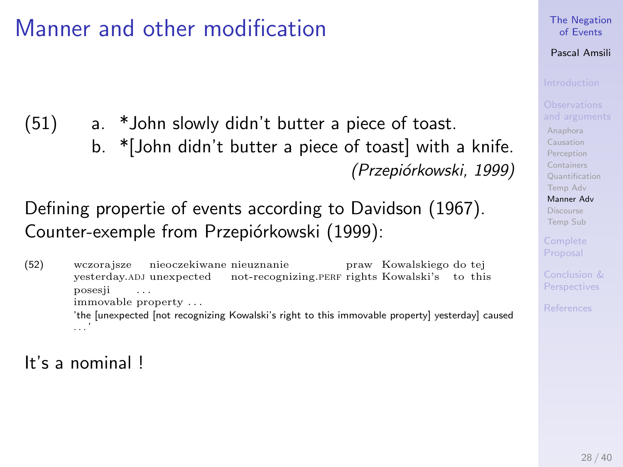# <span id="page-74-0"></span>Manner and other modification

(51) a. \*John slowly didn't butter a piece of toast. b. \*[John didn't butter a piece of toast] with a knife. (Przepiórkowski, 1999)

## Defining propertie of events according to Davidson (1967). Counter-exemple from Przepiórkowski (1999):

(52) wczorajsze yesterday.adj unexpected nieoczekiwane nieuznanie not-recognizing.PERF rights Kowalski's praw Kowalskiego do tej to this posesji immovable property . . . . . . 'the [unexpected [not recognizing Kowalski's right to this immovable property] yesterday] caused . . . '

### [The Negation](#page-0-0) of Events

## Pascal Amsili

[Anaphora](#page-64-0) [Causation](#page-65-0) [Perception](#page-66-0) [Containers](#page-67-0) [Quantification](#page-68-0) [Temp Adv](#page-73-0) [Manner Adv](#page-74-0) [Discourse](#page-75-0) [Temp Sub](#page-76-0)

It's a nominal !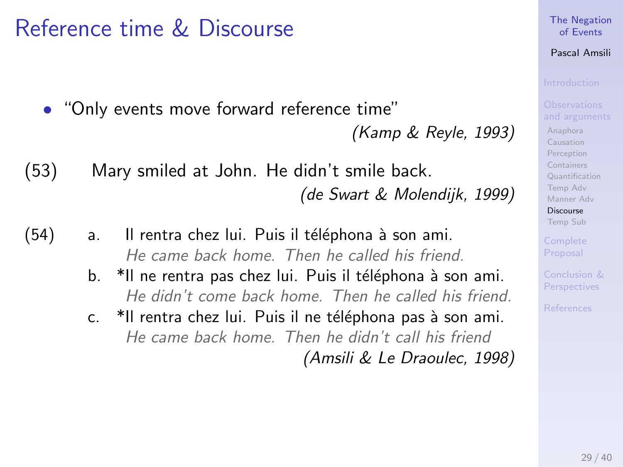# <span id="page-75-0"></span>Reference time & Discourse

• "Only events move forward reference time"

(Kamp & Reyle, 1993)

- (53) Mary smiled at John. He didn't smile back. (de Swart & Molendijk, 1999)
- (54) a. Il rentra chez lui. Puis il téléphona à son ami. He came back home. Then he called his friend.
	- b. \*Il ne rentra pas chez lui. Puis il téléphona à son ami. He didn't come back home. Then he called his friend.
	- c. \*Il rentra chez lui. Puis il ne téléphona pas à son ami. He came back home. Then he didn't call his friend (Amsili & Le Draoulec, 1998)

[The Negation](#page-0-0) of Events

## Pascal Amsili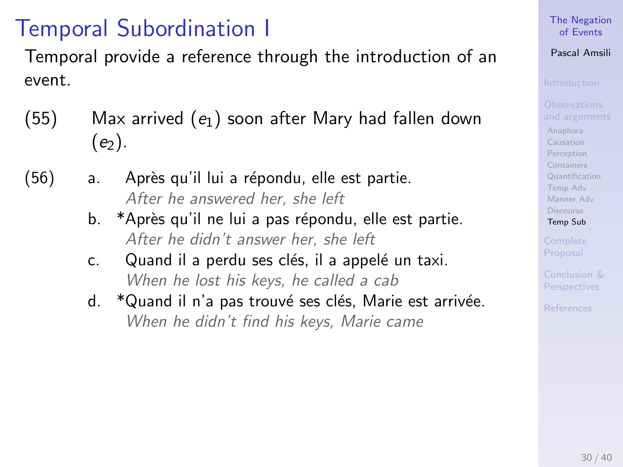# <span id="page-76-0"></span>Temporal Subordination I

Temporal provide a reference through the introduction of an event.

- $(55)$  Max arrived  $(e_1)$  soon after Mary had fallen down  $(e_2)$ .
- $(56)$  a. Après qu'il lui a répondu, elle est partie. After he answered her, she left
	- b. \*Après qu'il ne lui a pas répondu, elle est partie. After he didn't answer her, she left
	- c. Quand il a perdu ses clés, il a appelé un taxi. When he lost his keys, he called a cab
	- d. \* Quand il n'a pas trouvé ses clés, Marie est arrivée. When he didn't find his keys, Marie came

## [The Negation](#page-0-0) of Events

## Pascal Amsili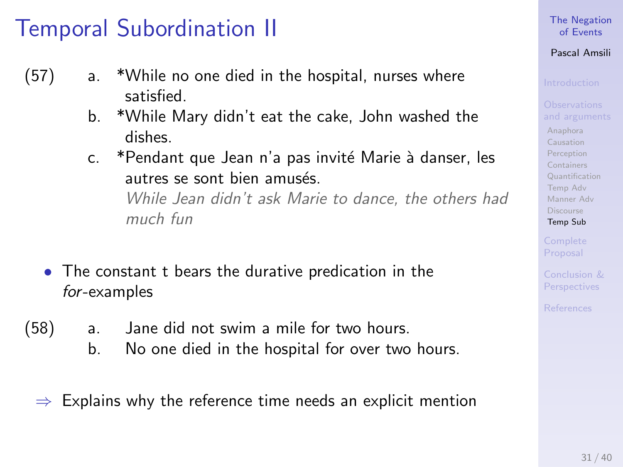# Temporal Subordination II

- (57) a. \*While no one died in the hospital, nurses where satisfied.
	- b. \*While Mary didn't eat the cake, John washed the dishes.
	- c. \*Pendant que Jean n'a pas invité Marie à danser, les autres se sont bien amusés While Jean didn't ask Marie to dance, the others had much fun
	- The constant t bears the durative predication in the for-examples
- (58) a. Jane did not swim a mile for two hours.
	- b. No one died in the hospital for over two hours.
	- Explains why the reference time needs an explicit mention

### [The Negation](#page-0-0) of Events

## Pascal Amsili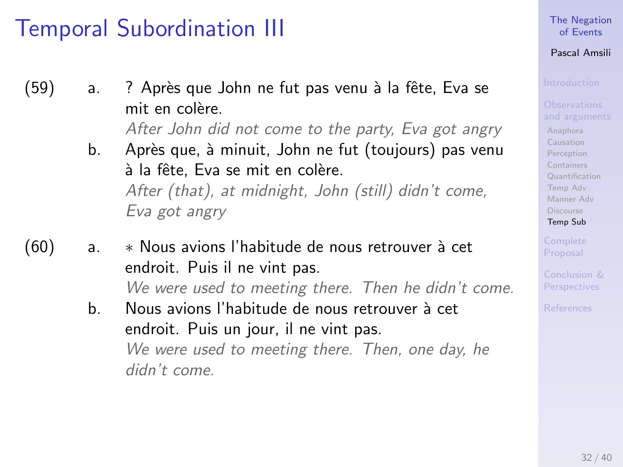# Temporal Subordination III

- (59) a. ? Après que John ne fut pas venu à la fête, Eva se mit en colère.
	- After John did not come to the party, Eva got angry
	- b. Après que, à minuit, John ne fut (toujours) pas venu à la fête. Eva se mit en colère. After (that), at midnight, John (still) didn't come, Eva got angry
- (60) a. ∗ Nous avions l'habitude de nous retrouver `a cet endroit. Puis il ne vint pas. We were used to meeting there. Then he didn't come.
	- b. Nous avions l'habitude de nous retrouver à cet endroit. Puis un jour, il ne vint pas. We were used to meeting there. Then, one day, he didn't come.

## [The Negation](#page-0-0) of Events

## Pascal Amsili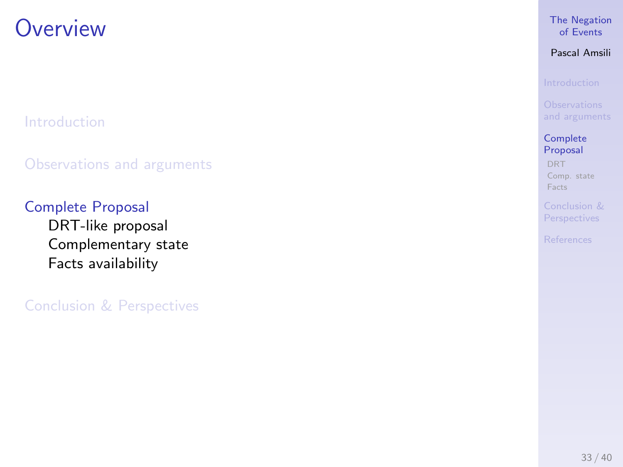## <span id="page-79-0"></span>**Overview**

[Introduction](#page-5-0)

[Observations and arguments](#page-63-0)

[Complete Proposal](#page-79-0) [DRT-like proposal](#page-80-0) [Complementary state](#page-81-0) [Facts availability](#page-83-0)

[Conclusion & Perspectives](#page-84-0)

## [The Negation](#page-0-0) of Events

Pascal Amsili

**[Complete](#page-79-0)** Proposal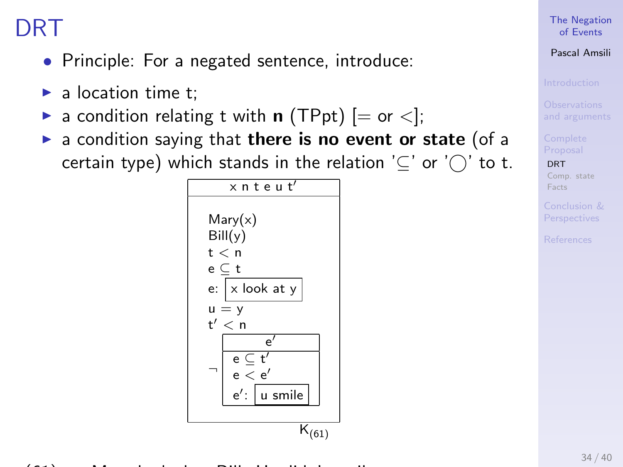# <span id="page-80-0"></span>DRT

- Principle: For a negated sentence, introduce:
- $\blacktriangleright$  a location time t;
- a condition relating t with **n** (TPpt)  $[=$  or  $\lt$ ];
- <span id="page-80-1"></span> $\triangleright$  a condition saying that there is no event or state (of a certain type) which stands in the relation  $'\subseteq'$  or  $'\cap'$  to t.



## [The Negation](#page-0-0) of Events

## Pascal Amsili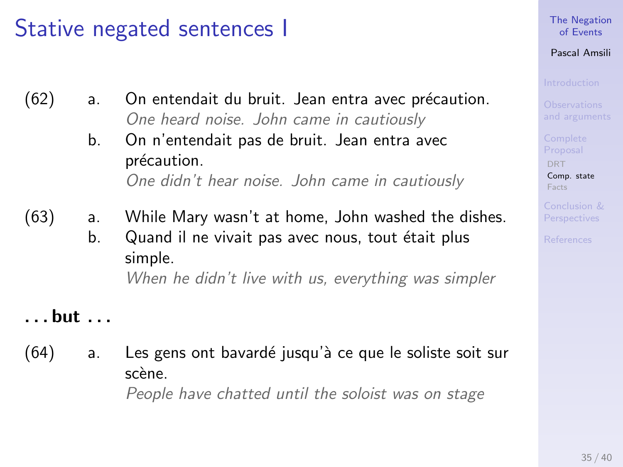# <span id="page-81-0"></span>Stative negated sentences I

- $(62)$  a. On entendait du bruit. Jean entra avec précaution. One heard noise. John came in cautiously
	- b. On n'entendait pas de bruit. Jean entra avec précaution. One didn't hear noise. John came in cautiously
- (63) a. While Mary wasn't at home, John washed the dishes.
	- b. Quand il ne vivait pas avec nous, tout était plus simple. When he didn't live with us, everything was simpler

. . . but . . .

 $(64)$  a. Les gens ont bavardé jusqu'à ce que le soliste soit sur scène People have chatted until the soloist was on stage

[The Negation](#page-0-0) of Events

Pascal Amsili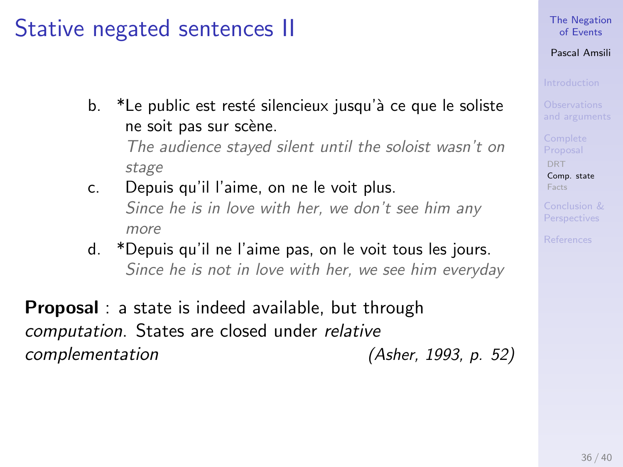# Stative negated sentences II

- b.  $*$ Le public est resté silencieux jusqu'à ce que le soliste ne soit pas sur scène. The audience stayed silent until the soloist wasn't on stage
- c. Depuis qu'il l'aime, on ne le voit plus. Since he is in love with her, we don't see him any more
- d. \*Depuis qu'il ne l'aime pas, on le voit tous les jours. Since he is not in love with her, we see him everyday

**Proposal** : a state is indeed available, but through computation. States are closed under relative complementation (Asher, 1993, p. 52)

## [The Negation](#page-0-0) of Events

## Pascal Amsili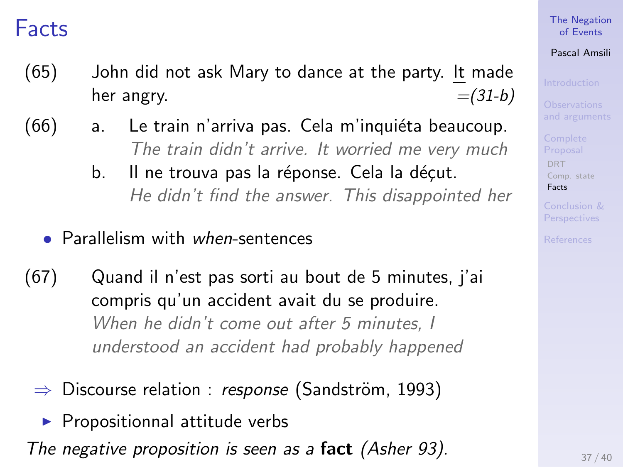## <span id="page-83-0"></span>Facts

- (65) John did not ask Mary to dance at the party. It made her angry.  $=(31-b)$
- (66) a. Le train n'arriva pas. Cela m'inquiéta beaucoup. The train didn't arrive. It worried me very much
	- b. Il ne trouva pas la réponse. Cela la décut. He didn't find the answer. This disappointed her
	- Parallelism with when-sentences
- (67) Quand il n'est pas sorti au bout de 5 minutes, j'ai compris qu'un accident avait du se produire. When he didn't come out after 5 minutes. I understood an accident had probably happened
	- $\Rightarrow$  Discourse relation : *response* (Sandström, 1993)
		- $\blacktriangleright$  Propositionnal attitude verbs

The negative proposition is seen as a fact (Asher 93).  $\frac{37/40}{37/40}$ 

## [The Negation](#page-0-0) of Events

## Pascal Amsili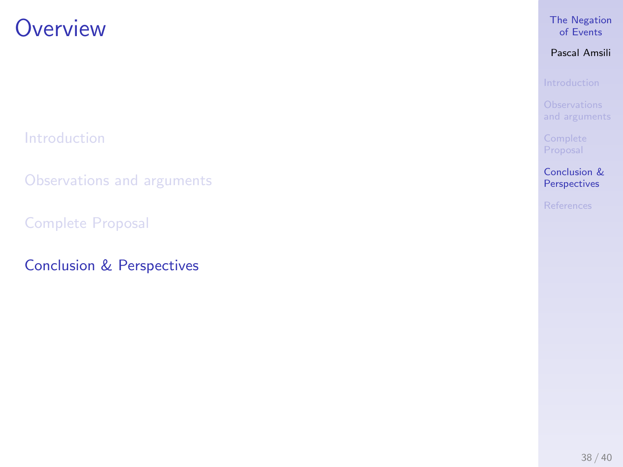## <span id="page-84-0"></span>**Overview**

[Introduction](#page-5-0)

[Observations and arguments](#page-63-0)

[Complete Proposal](#page-79-0)

[Conclusion & Perspectives](#page-84-0)

## [The Negation](#page-0-0) of Events

Pascal Amsili

[Conclusion &](#page-84-0) Perspectives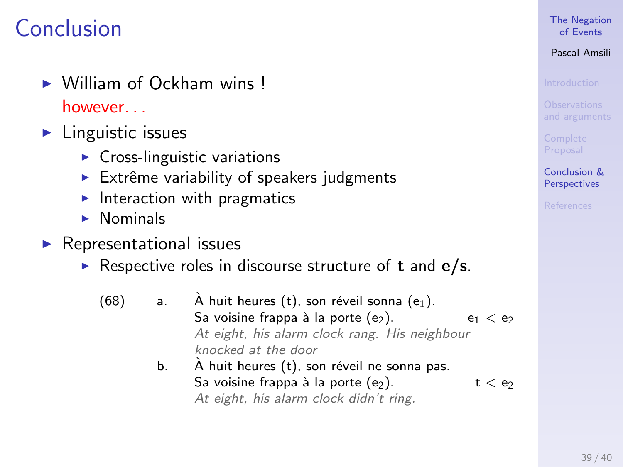# Conclusion

- $\triangleright$  William of Ockham wins ! however. . .
- $\blacktriangleright$  Linguistic issues
	- $\triangleright$  Cross-linguistic variations
	- $\triangleright$  Extrême variability of speakers judgments
	- Interaction with pragmatics
	- $\blacktriangleright$  Nominals
- $\blacktriangleright$  Representational issues
	- Respective roles in discourse structure of **t** and  $e/s$ .
		- (68) a.  $\hat{A}$  huit heures (t), son réveil sonna (e<sub>1</sub>). Sa voisine frappa à la porte  $(e_2)$ .  $e_1 < e_2$ At eight, his alarm clock rang. His neighbour knocked at the door b.  $\overrightarrow{A}$  huit heures (t), son réveil ne sonna pas.
			- Sa voisine frappa à la porte  $(e_2)$ .  $t < e_2$ At eight, his alarm clock didn't ring.

## [The Negation](#page-0-0) of Events

## Pascal Amsili

[Conclusion &](#page-84-0) **Perspectives**